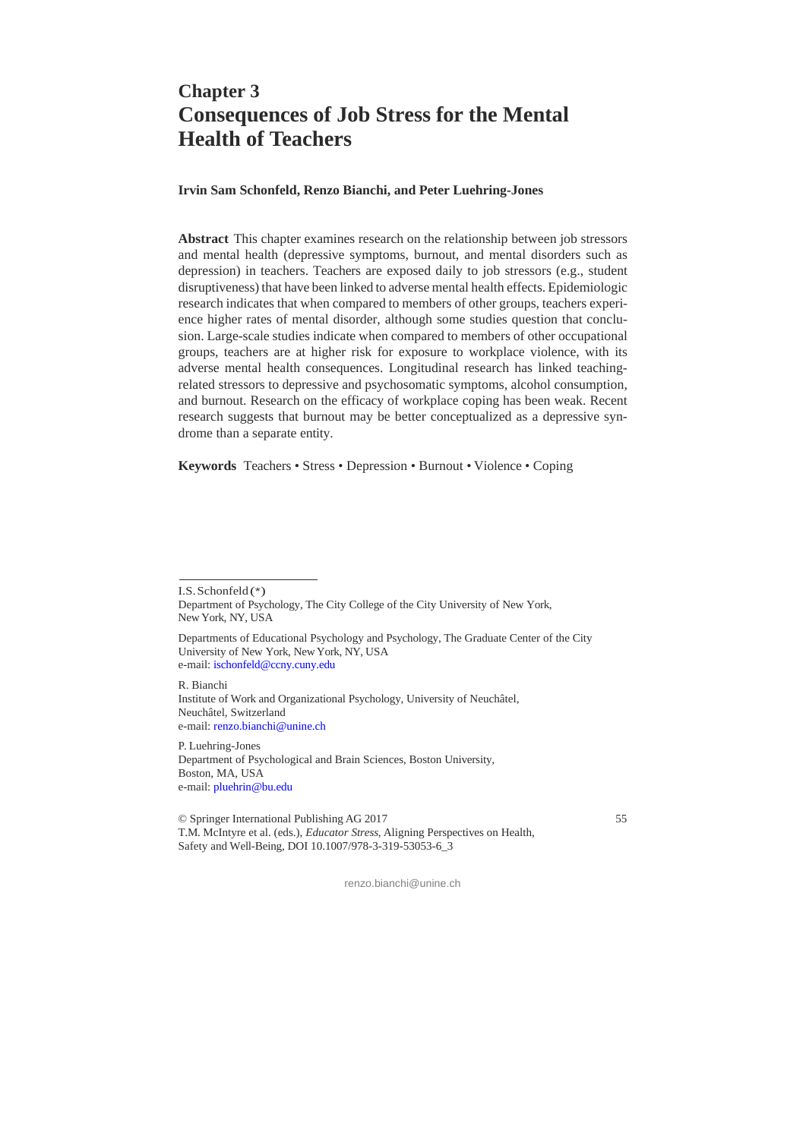# **Chapter 3 Consequences of Job Stress for the Mental Health of Teachers**

**Irvin Sam Schonfeld, Renzo Bianchi, and Peter Luehring-Jones**

**Abstract** This chapter examines research on the relationship between job stressors and mental health (depressive symptoms, burnout, and mental disorders such as depression) in teachers. Teachers are exposed daily to job stressors (e.g., student disruptiveness) that have been linked to adverse mental health effects. Epidemiologic research indicates that when compared to members of other groups, teachers experience higher rates of mental disorder, although some studies question that conclusion. Large-scale studies indicate when compared to members of other occupational groups, teachers are at higher risk for exposure to workplace violence, with its adverse mental health consequences. Longitudinal research has linked teachingrelated stressors to depressive and psychosomatic symptoms, alcohol consumption, and burnout. Research on the efficacy of workplace coping has been weak. Recent research suggests that burnout may be better conceptualized as a depressive syndrome than a separate entity.

**Keywords** Teachers • Stress • Depression • Burnout • Violence • Coping

I.S. Schonfeld (\*)

R. Bianchi

Institute of Work and Organizational Psychology, University of Neuchâtel, Neuchâtel, Switzerland e-mail: renzo.bianchi@unine.ch

P. Luehring-Jones Department of Psychological and Brain Sciences, Boston University, Boston, MA, USA e-mail: pluehrin@bu.edu

© Springer International Publishing AG 2017 55 T.M. McIntyre et al. (eds.), *Educator Stress*, Aligning Perspectives on Health, Safety and Well-Being, DOI 10.1007/978-3-319-53053-6\_3

Department of Psychology, The City College of the City University of New York, New York, NY, USA

Departments of Educational Psychology and Psychology, The Graduate Center of the City University of New York, New York, NY, USA e-mail: ischonfeld@ccny.cuny.edu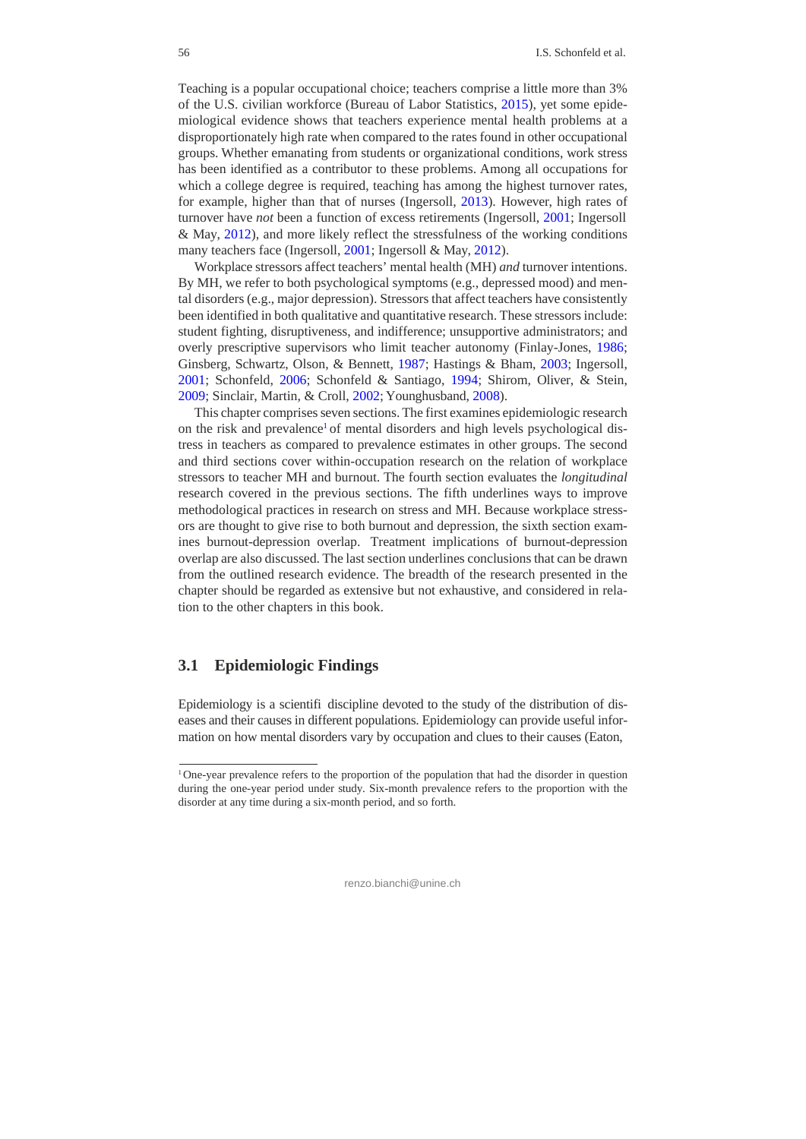Teaching is a popular occupational choice; teachers comprise a little more than 3% of the U.S. civilian workforce (Bureau of Labor Statistics, 2015), yet some epidemiological evidence shows that teachers experience mental health problems at a disproportionately high rate when compared to the rates found in other occupational groups. Whether emanating from students or organizational conditions, work stress has been identified as a contributor to these problems. Among all occupations for which a college degree is required, teaching has among the highest turnover rates, for example, higher than that of nurses (Ingersoll, 2013). However, high rates of turnover have *not* been a function of excess retirements (Ingersoll, 2001; Ingersoll & May, 2012), and more likely reflect the stressfulness of the working conditions many teachers face (Ingersoll, 2001; Ingersoll & May, 2012).

Workplace stressors affect teachers' mental health (MH) *and* turnover intentions. By MH, we refer to both psychological symptoms (e.g., depressed mood) and mental disorders (e.g., major depression). Stressors that affect teachers have consistently been identified in both qualitative and quantitative research. These stressors include: student fighting, disruptiveness, and indifference; unsupportive administrators; and overly prescriptive supervisors who limit teacher autonomy (Finlay-Jones, 1986; Ginsberg, Schwartz, Olson, & Bennett, 1987; Hastings & Bham, 2003; Ingersoll, 2001; Schonfeld, 2006; Schonfeld & Santiago, 1994; Shirom, Oliver, & Stein, 2009; Sinclair, Martin, & Croll, 2002; Younghusband, 2008).

This chapter comprises seven sections. The first examines epidemiologic research on the risk and prevalence<sup>1</sup> of mental disorders and high levels psychological distress in teachers as compared to prevalence estimates in other groups. The second and third sections cover within-occupation research on the relation of workplace stressors to teacher MH and burnout. The fourth section evaluates the *longitudinal*  research covered in the previous sections. The fifth underlines ways to improve methodological practices in research on stress and MH. Because workplace stressors are thought to give rise to both burnout and depression, the sixth section examines burnout-depression overlap. Treatment implications of burnout-depression overlap are also discussed. The last section underlines conclusions that can be drawn from the outlined research evidence. The breadth of the research presented in the chapter should be regarded as extensive but not exhaustive, and considered in relation to the other chapters in this book.

## **3.1 Epidemiologic Findings**

Epidemiology is a scientifi discipline devoted to the study of the distribution of diseases and their causes in different populations. Epidemiology can provide useful information on how mental disorders vary by occupation and clues to their causes (Eaton,

<sup>&</sup>lt;sup>1</sup> One-year prevalence refers to the proportion of the population that had the disorder in question during the one-year period under study. Six-month prevalence refers to the proportion with the disorder at any time during a six-month period, and so forth.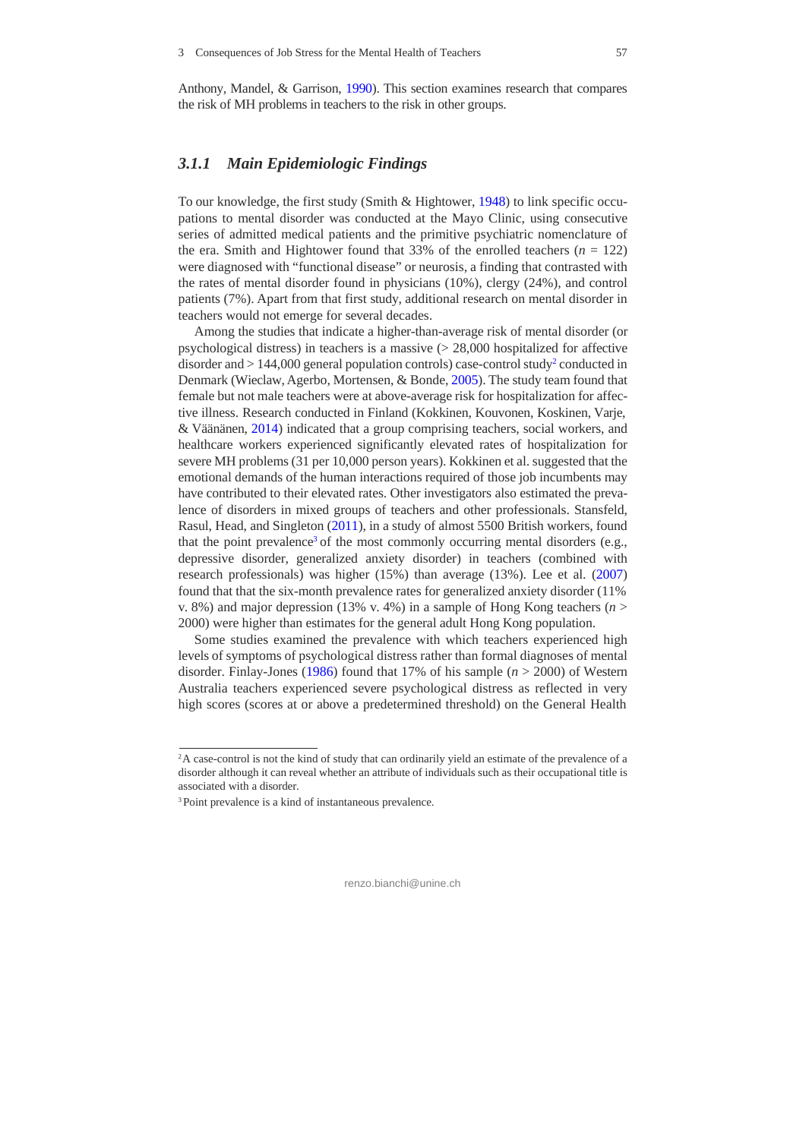Anthony, Mandel, & Garrison, 1990). This section examines research that compares the risk of MH problems in teachers to the risk in other groups.

## *3.1.1 Main Epidemiologic Findings*

To our knowledge, the first study (Smith & Hightower, 1948) to link specific occupations to mental disorder was conducted at the Mayo Clinic, using consecutive series of admitted medical patients and the primitive psychiatric nomenclature of the era. Smith and Hightower found that 33% of the enrolled teachers  $(n = 122)$ were diagnosed with "functional disease" or neurosis, a finding that contrasted with the rates of mental disorder found in physicians (10%), clergy (24%), and control patients (7%). Apart from that first study, additional research on mental disorder in teachers would not emerge for several decades.

Among the studies that indicate a higher-than-average risk of mental disorder (or psychological distress) in teachers is a massive (> 28,000 hospitalized for affective disorder and  $> 144,000$  general population controls) case-control study<sup>2</sup> conducted in Denmark (Wieclaw, Agerbo, Mortensen, & Bonde, 2005). The study team found that female but not male teachers were at above-average risk for hospitalization for affective illness. Research conducted in Finland (Kokkinen, Kouvonen, Koskinen, Varje, & Väänänen, 2014) indicated that a group comprising teachers, social workers, and healthcare workers experienced significantly elevated rates of hospitalization for severe MH problems (31 per 10,000 person years). Kokkinen et al. suggested that the emotional demands of the human interactions required of those job incumbents may have contributed to their elevated rates. Other investigators also estimated the prevalence of disorders in mixed groups of teachers and other professionals. Stansfeld, Rasul, Head, and Singleton (2011), in a study of almost 5500 British workers, found that the point prevalence<sup>3</sup> of the most commonly occurring mental disorders (e.g., depressive disorder, generalized anxiety disorder) in teachers (combined with research professionals) was higher (15%) than average (13%). Lee et al. (2007) found that that the six-month prevalence rates for generalized anxiety disorder (11% v. 8%) and major depression (13% v. 4%) in a sample of Hong Kong teachers ( $n >$ 2000) were higher than estimates for the general adult Hong Kong population.

Some studies examined the prevalence with which teachers experienced high levels of symptoms of psychological distress rather than formal diagnoses of mental disorder. Finlay-Jones (1986) found that 17% of his sample (*n* > 2000) of Western Australia teachers experienced severe psychological distress as reflected in very high scores (scores at or above a predetermined threshold) on the General Health

<sup>&</sup>lt;sup>2</sup>A case-control is not the kind of study that can ordinarily yield an estimate of the prevalence of a disorder although it can reveal whether an attribute of individuals such as their occupational title is associated with a disorder.

<sup>3</sup> Point prevalence is a kind of instantaneous prevalence.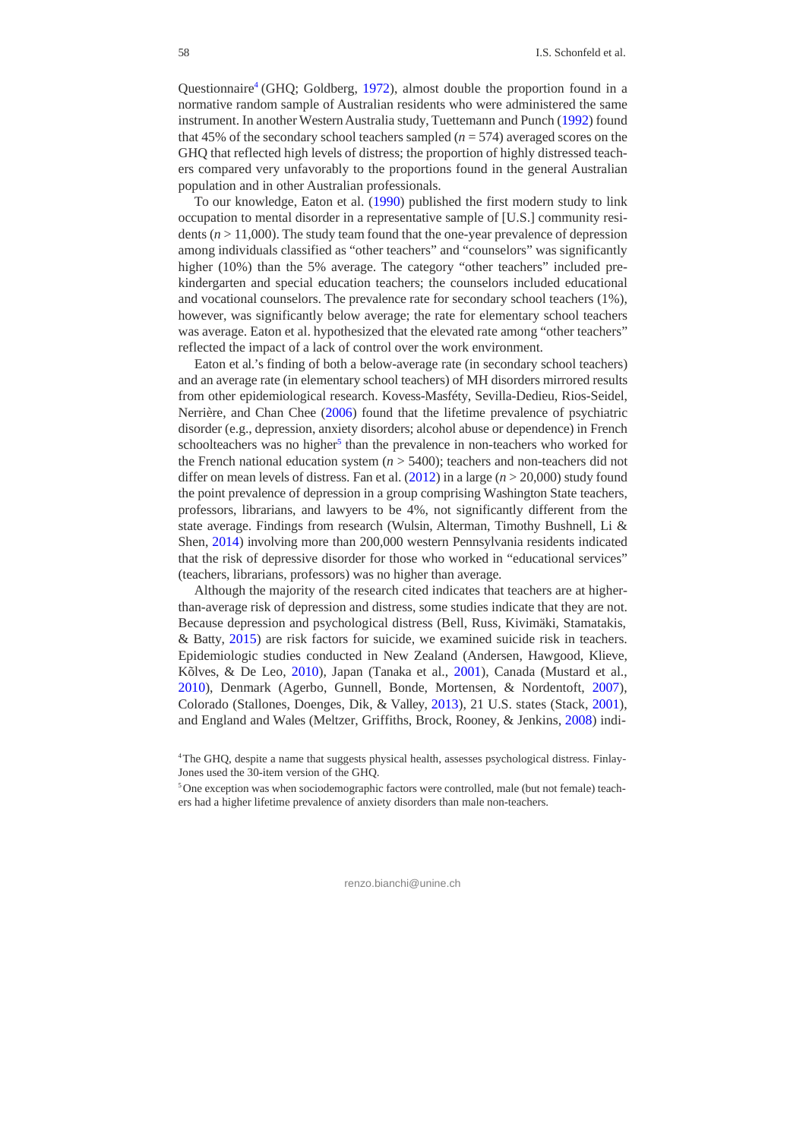Questionnaire<sup>4</sup> (GHQ; Goldberg, 1972), almost double the proportion found in a normative random sample of Australian residents who were administered the same instrument. In another Western Australia study, Tuettemann and Punch (1992) found that 45% of the secondary school teachers sampled  $(n = 574)$  averaged scores on the GHQ that reflected high levels of distress; the proportion of highly distressed teachers compared very unfavorably to the proportions found in the general Australian population and in other Australian professionals.

To our knowledge, Eaton et al. (1990) published the first modern study to link occupation to mental disorder in a representative sample of [U.S.] community residents  $(n > 11,000)$ . The study team found that the one-year prevalence of depression among individuals classified as "other teachers" and "counselors" was significantly higher (10%) than the 5% average. The category "other teachers" included prekindergarten and special education teachers; the counselors included educational and vocational counselors. The prevalence rate for secondary school teachers (1%), however, was significantly below average; the rate for elementary school teachers was average. Eaton et al. hypothesized that the elevated rate among "other teachers" reflected the impact of a lack of control over the work environment.

Eaton et al.'s finding of both a below-average rate (in secondary school teachers) and an average rate (in elementary school teachers) of MH disorders mirrored results from other epidemiological research. Kovess-Masféty, Sevilla-Dedieu, Rios-Seidel, Nerrière, and Chan Chee (2006) found that the lifetime prevalence of psychiatric disorder (e.g., depression, anxiety disorders; alcohol abuse or dependence) in French schoolteachers was no higher<sup>5</sup> than the prevalence in non-teachers who worked for the French national education system  $(n > 5400)$ ; teachers and non-teachers did not differ on mean levels of distress. Fan et al. (2012) in a large (*n* > 20,000) study found the point prevalence of depression in a group comprising Washington State teachers, professors, librarians, and lawyers to be 4%, not significantly different from the state average. Findings from research (Wulsin, Alterman, Timothy Bushnell, Li & Shen, 2014) involving more than 200,000 western Pennsylvania residents indicated that the risk of depressive disorder for those who worked in "educational services" (teachers, librarians, professors) was no higher than average.

Although the majority of the research cited indicates that teachers are at higherthan-average risk of depression and distress, some studies indicate that they are not. Because depression and psychological distress (Bell, Russ, Kivimäki, Stamatakis, & Batty, 2015) are risk factors for suicide, we examined suicide risk in teachers. Epidemiologic studies conducted in New Zealand (Andersen, Hawgood, Klieve, Kõlves, & De Leo, 2010), Japan (Tanaka et al., 2001), Canada (Mustard et al., 2010), Denmark (Agerbo, Gunnell, Bonde, Mortensen, & Nordentoft, 2007), Colorado (Stallones, Doenges, Dik, & Valley, 2013), 21 U.S. states (Stack, 2001), and England and Wales (Meltzer, Griffiths, Brock, Rooney, & Jenkins, 2008) indi-

<sup>4</sup> The GHQ, despite a name that suggests physical health, assesses psychological distress. Finlay-Jones used the 30-item version of the GHQ.

<sup>5</sup> One exception was when sociodemographic factors were controlled, male (but not female) teachers had a higher lifetime prevalence of anxiety disorders than male non-teachers.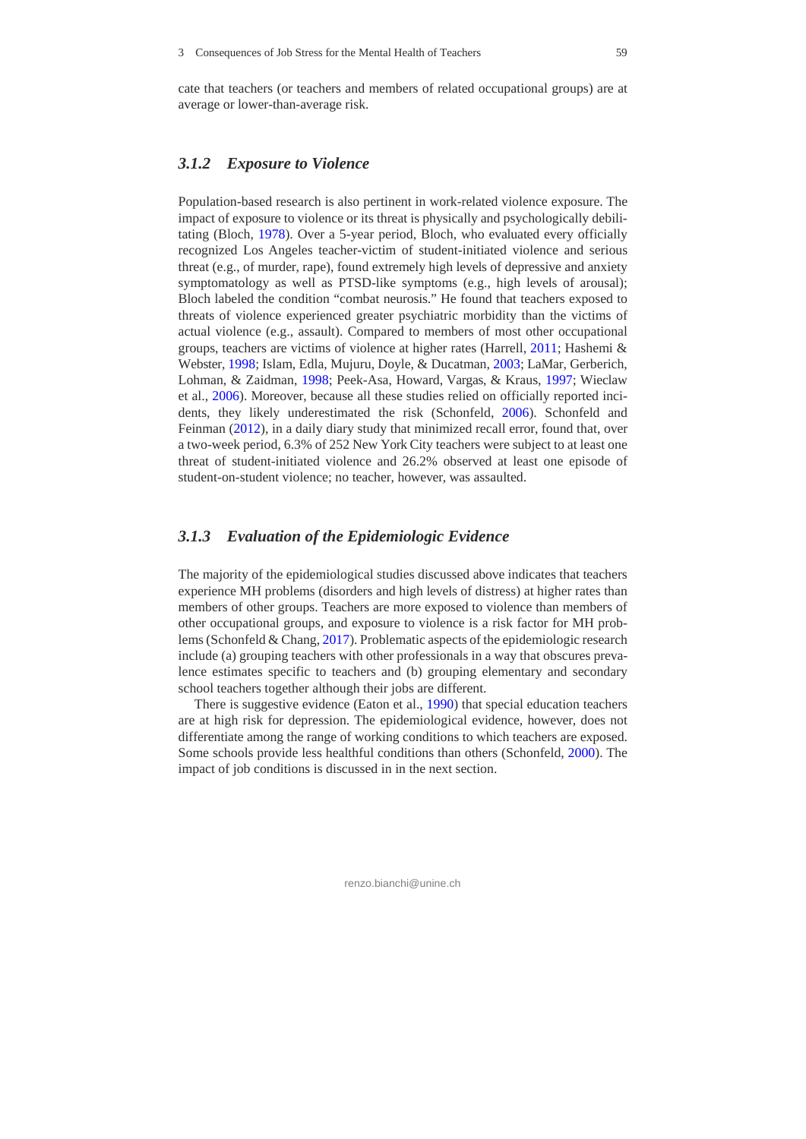cate that teachers (or teachers and members of related occupational groups) are at average or lower-than-average risk.

## *3.1.2 Exposure to Violence*

Population-based research is also pertinent in work-related violence exposure. The impact of exposure to violence or its threat is physically and psychologically debilitating (Bloch, 1978). Over a 5-year period, Bloch, who evaluated every officially recognized Los Angeles teacher-victim of student-initiated violence and serious threat (e.g., of murder, rape), found extremely high levels of depressive and anxiety symptomatology as well as PTSD-like symptoms (e.g., high levels of arousal); Bloch labeled the condition "combat neurosis." He found that teachers exposed to threats of violence experienced greater psychiatric morbidity than the victims of actual violence (e.g., assault). Compared to members of most other occupational groups, teachers are victims of violence at higher rates (Harrell, 2011; Hashemi & Webster, 1998; Islam, Edla, Mujuru, Doyle, & Ducatman, 2003; LaMar, Gerberich, Lohman, & Zaidman, 1998; Peek-Asa, Howard, Vargas, & Kraus, 1997; Wieclaw et al., 2006). Moreover, because all these studies relied on officially reported incidents, they likely underestimated the risk (Schonfeld, 2006). Schonfeld and Feinman (2012), in a daily diary study that minimized recall error, found that, over a two-week period, 6.3% of 252 New York City teachers were subject to at least one threat of student-initiated violence and 26.2% observed at least one episode of student-on-student violence; no teacher, however, was assaulted.

#### *3.1.3 Evaluation of the Epidemiologic Evidence*

The majority of the epidemiological studies discussed above indicates that teachers experience MH problems (disorders and high levels of distress) at higher rates than members of other groups. Teachers are more exposed to violence than members of other occupational groups, and exposure to violence is a risk factor for MH problems (Schonfeld & Chang, 2017). Problematic aspects of the epidemiologic research include (a) grouping teachers with other professionals in a way that obscures prevalence estimates specific to teachers and (b) grouping elementary and secondary school teachers together although their jobs are different.

There is suggestive evidence (Eaton et al., 1990) that special education teachers are at high risk for depression. The epidemiological evidence, however, does not differentiate among the range of working conditions to which teachers are exposed. Some schools provide less healthful conditions than others (Schonfeld, 2000). The impact of job conditions is discussed in in the next section.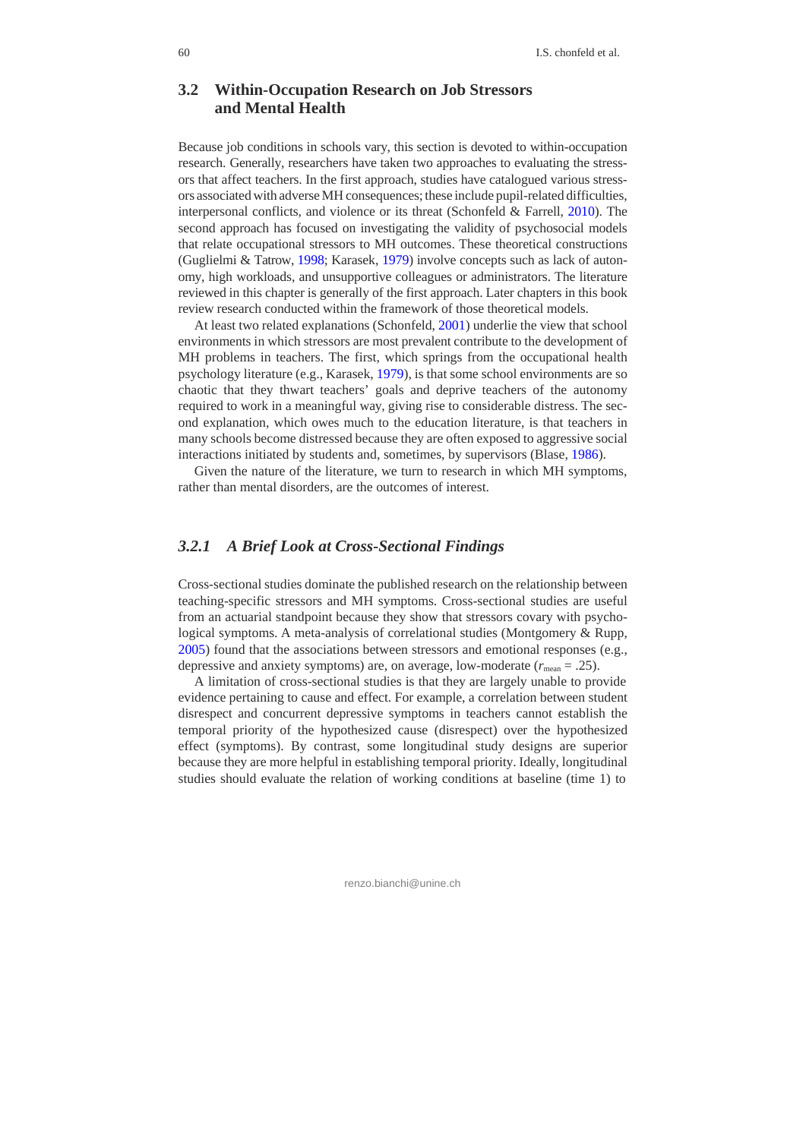# **3.2 Within-Occupation Research on Job Stressors and Mental Health**

Because job conditions in schools vary, this section is devoted to within-occupation research. Generally, researchers have taken two approaches to evaluating the stressors that affect teachers. In the first approach, studies have catalogued various stressors associated with adverse MH consequences; these include pupil-related difficulties, interpersonal conflicts, and violence or its threat (Schonfeld & Farrell, 2010). The second approach has focused on investigating the validity of psychosocial models that relate occupational stressors to MH outcomes. These theoretical constructions (Guglielmi & Tatrow, 1998; Karasek, 1979) involve concepts such as lack of autonomy, high workloads, and unsupportive colleagues or administrators. The literature reviewed in this chapter is generally of the first approach. Later chapters in this book review research conducted within the framework of those theoretical models.

At least two related explanations (Schonfeld, 2001) underlie the view that school environments in which stressors are most prevalent contribute to the development of MH problems in teachers. The first, which springs from the occupational health psychology literature (e.g., Karasek, 1979), is that some school environments are so chaotic that they thwart teachers' goals and deprive teachers of the autonomy required to work in a meaningful way, giving rise to considerable distress. The second explanation, which owes much to the education literature, is that teachers in many schools become distressed because they are often exposed to aggressive social interactions initiated by students and, sometimes, by supervisors (Blase, 1986).

Given the nature of the literature, we turn to research in which MH symptoms, rather than mental disorders, are the outcomes of interest.

#### *3.2.1 A Brief Look at Cross-Sectional Findings*

Cross-sectional studies dominate the published research on the relationship between teaching-specific stressors and MH symptoms. Cross-sectional studies are useful from an actuarial standpoint because they show that stressors covary with psychological symptoms. A meta-analysis of correlational studies (Montgomery & Rupp, 2005) found that the associations between stressors and emotional responses (e.g., depressive and anxiety symptoms) are, on average, low-moderate  $(r_{\text{mean}} = .25)$ .

A limitation of cross-sectional studies is that they are largely unable to provide evidence pertaining to cause and effect. For example, a correlation between student disrespect and concurrent depressive symptoms in teachers cannot establish the temporal priority of the hypothesized cause (disrespect) over the hypothesized effect (symptoms). By contrast, some longitudinal study designs are superior because they are more helpful in establishing temporal priority. Ideally, longitudinal studies should evaluate the relation of working conditions at baseline (time 1) to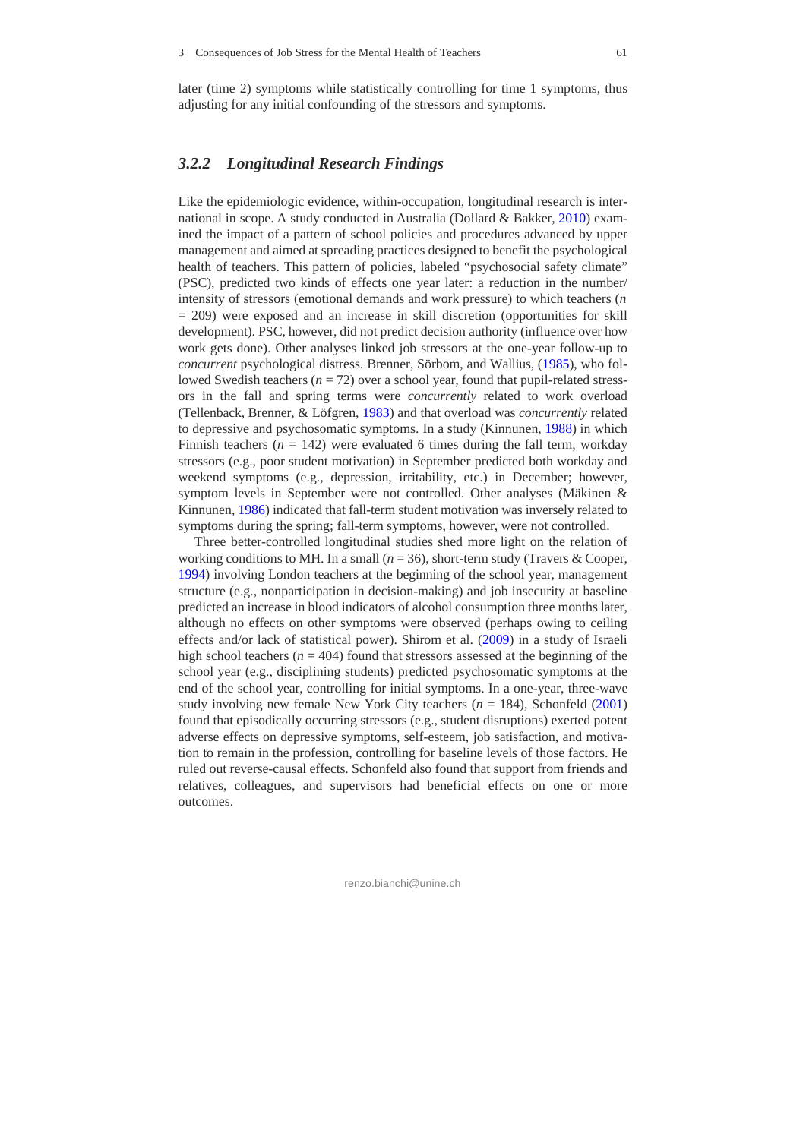later (time 2) symptoms while statistically controlling for time 1 symptoms, thus adjusting for any initial confounding of the stressors and symptoms.

## *3.2.2 Longitudinal Research Findings*

Like the epidemiologic evidence, within-occupation, longitudinal research is international in scope. A study conducted in Australia (Dollard & Bakker, 2010) examined the impact of a pattern of school policies and procedures advanced by upper management and aimed at spreading practices designed to benefit the psychological health of teachers. This pattern of policies, labeled "psychosocial safety climate" (PSC), predicted two kinds of effects one year later: a reduction in the number/ intensity of stressors (emotional demands and work pressure) to which teachers (*n*  $= 209$ ) were exposed and an increase in skill discretion (opportunities for skill development). PSC, however, did not predict decision authority (influence over how work gets done). Other analyses linked job stressors at the one-year follow-up to *concurrent* psychological distress. Brenner, Sörbom, and Wallius, (1985), who followed Swedish teachers ( $n = 72$ ) over a school year, found that pupil-related stressors in the fall and spring terms were *concurrently* related to work overload (Tellenback, Brenner, & Löfgren, 1983) and that overload was *concurrently* related to depressive and psychosomatic symptoms. In a study (Kinnunen, 1988) in which Finnish teachers  $(n = 142)$  were evaluated 6 times during the fall term, workday stressors (e.g., poor student motivation) in September predicted both workday and weekend symptoms (e.g., depression, irritability, etc.) in December; however, symptom levels in September were not controlled. Other analyses (Mäkinen & Kinnunen, 1986) indicated that fall-term student motivation was inversely related to symptoms during the spring; fall-term symptoms, however, were not controlled.

Three better-controlled longitudinal studies shed more light on the relation of working conditions to MH. In a small  $(n = 36)$ , short-term study (Travers & Cooper, 1994) involving London teachers at the beginning of the school year, management structure (e.g., nonparticipation in decision-making) and job insecurity at baseline predicted an increase in blood indicators of alcohol consumption three months later, although no effects on other symptoms were observed (perhaps owing to ceiling effects and/or lack of statistical power). Shirom et al. (2009) in a study of Israeli high school teachers ( $n = 404$ ) found that stressors assessed at the beginning of the school year (e.g., disciplining students) predicted psychosomatic symptoms at the end of the school year, controlling for initial symptoms. In a one-year, three-wave study involving new female New York City teachers (*n* = 184), Schonfeld (2001) found that episodically occurring stressors (e.g., student disruptions) exerted potent adverse effects on depressive symptoms, self-esteem, job satisfaction, and motivation to remain in the profession, controlling for baseline levels of those factors. He ruled out reverse-causal effects. Schonfeld also found that support from friends and relatives, colleagues, and supervisors had beneficial effects on one or more outcomes.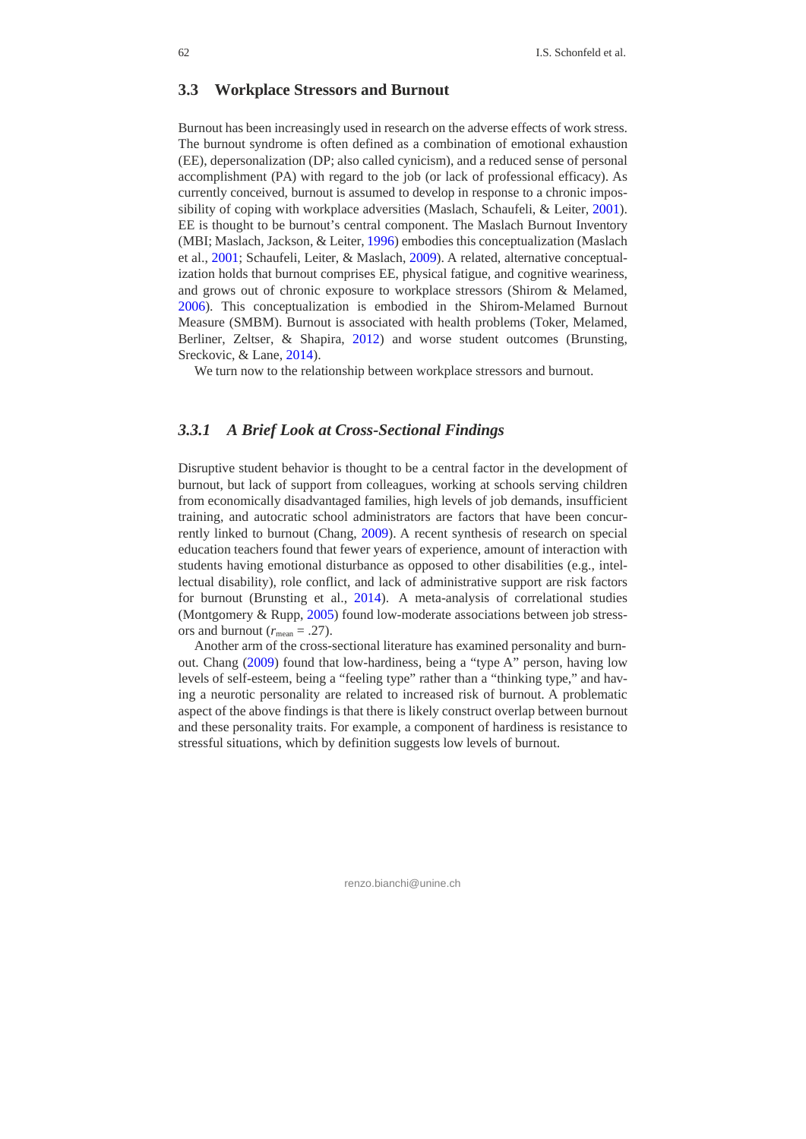#### **3.3 Workplace Stressors and Burnout**

Burnout has been increasingly used in research on the adverse effects of work stress. The burnout syndrome is often defined as a combination of emotional exhaustion (EE), depersonalization (DP; also called cynicism), and a reduced sense of personal accomplishment (PA) with regard to the job (or lack of professional efficacy). As currently conceived, burnout is assumed to develop in response to a chronic impossibility of coping with workplace adversities (Maslach, Schaufeli, & Leiter, 2001). EE is thought to be burnout's central component. The Maslach Burnout Inventory (MBI; Maslach, Jackson, & Leiter, 1996) embodies this conceptualization (Maslach et al., 2001; Schaufeli, Leiter, & Maslach, 2009). A related, alternative conceptualization holds that burnout comprises EE, physical fatigue, and cognitive weariness, and grows out of chronic exposure to workplace stressors (Shirom & Melamed, 2006). This conceptualization is embodied in the Shirom-Melamed Burnout Measure (SMBM). Burnout is associated with health problems (Toker, Melamed, Berliner, Zeltser, & Shapira, 2012) and worse student outcomes (Brunsting, Sreckovic, & Lane, 2014).

We turn now to the relationship between workplace stressors and burnout.

#### *3.3.1 A Brief Look at Cross-Sectional Findings*

Disruptive student behavior is thought to be a central factor in the development of burnout, but lack of support from colleagues, working at schools serving children from economically disadvantaged families, high levels of job demands, insufficient training, and autocratic school administrators are factors that have been concurrently linked to burnout (Chang, 2009). A recent synthesis of research on special education teachers found that fewer years of experience, amount of interaction with students having emotional disturbance as opposed to other disabilities (e.g., intellectual disability), role conflict, and lack of administrative support are risk factors for burnout (Brunsting et al., 2014). A meta-analysis of correlational studies (Montgomery & Rupp, 2005) found low-moderate associations between job stressors and burnout ( $r_{\text{mean}} = .27$ ).

Another arm of the cross-sectional literature has examined personality and burnout. Chang (2009) found that low-hardiness, being a "type A" person, having low levels of self-esteem, being a "feeling type" rather than a "thinking type," and having a neurotic personality are related to increased risk of burnout. A problematic aspect of the above findings is that there is likely construct overlap between burnout and these personality traits. For example, a component of hardiness is resistance to stressful situations, which by definition suggests low levels of burnout.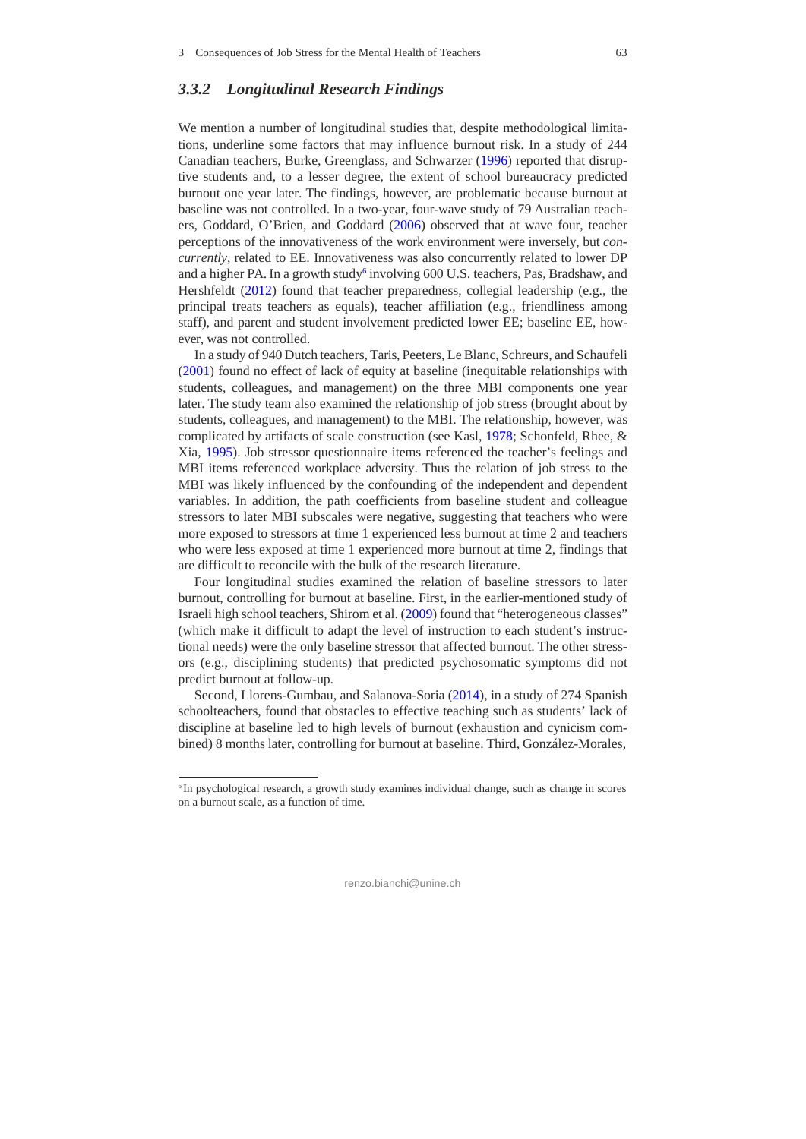#### *3.3.2 Longitudinal Research Findings*

We mention a number of longitudinal studies that, despite methodological limitations, underline some factors that may influence burnout risk. In a study of 244 Canadian teachers, Burke, Greenglass, and Schwarzer (1996) reported that disruptive students and, to a lesser degree, the extent of school bureaucracy predicted burnout one year later. The findings, however, are problematic because burnout at baseline was not controlled. In a two-year, four-wave study of 79 Australian teachers, Goddard, O'Brien, and Goddard (2006) observed that at wave four, teacher perceptions of the innovativeness of the work environment were inversely, but *concurrently*, related to EE. Innovativeness was also concurrently related to lower DP and a higher PA. In a growth study<sup>6</sup> involving 600 U.S. teachers, Pas, Bradshaw, and Hershfeldt (2012) found that teacher preparedness, collegial leadership (e.g., the principal treats teachers as equals), teacher affiliation (e.g., friendliness among staff), and parent and student involvement predicted lower EE; baseline EE, however, was not controlled.

In a study of 940 Dutch teachers, Taris, Peeters, Le Blanc, Schreurs, and Schaufeli (2001) found no effect of lack of equity at baseline (inequitable relationships with students, colleagues, and management) on the three MBI components one year later. The study team also examined the relationship of job stress (brought about by students, colleagues, and management) to the MBI. The relationship, however, was complicated by artifacts of scale construction (see Kasl, 1978; Schonfeld, Rhee, & Xia, 1995). Job stressor questionnaire items referenced the teacher's feelings and MBI items referenced workplace adversity. Thus the relation of job stress to the MBI was likely influenced by the confounding of the independent and dependent variables. In addition, the path coefficients from baseline student and colleague stressors to later MBI subscales were negative, suggesting that teachers who were more exposed to stressors at time 1 experienced less burnout at time 2 and teachers who were less exposed at time 1 experienced more burnout at time 2, findings that are difficult to reconcile with the bulk of the research literature.

Four longitudinal studies examined the relation of baseline stressors to later burnout, controlling for burnout at baseline. First, in the earlier-mentioned study of Israeli high school teachers, Shirom et al. (2009) found that "heterogeneous classes" (which make it difficult to adapt the level of instruction to each student's instructional needs) were the only baseline stressor that affected burnout. The other stressors (e.g., disciplining students) that predicted psychosomatic symptoms did not predict burnout at follow-up.

Second, Llorens-Gumbau, and Salanova-Soria (2014), in a study of 274 Spanish schoolteachers, found that obstacles to effective teaching such as students' lack of discipline at baseline led to high levels of burnout (exhaustion and cynicism combined) 8 months later, controlling for burnout at baseline. Third, González-Morales,

<sup>&</sup>lt;sup>6</sup> In psychological research, a growth study examines individual change, such as change in scores on a burnout scale, as a function of time.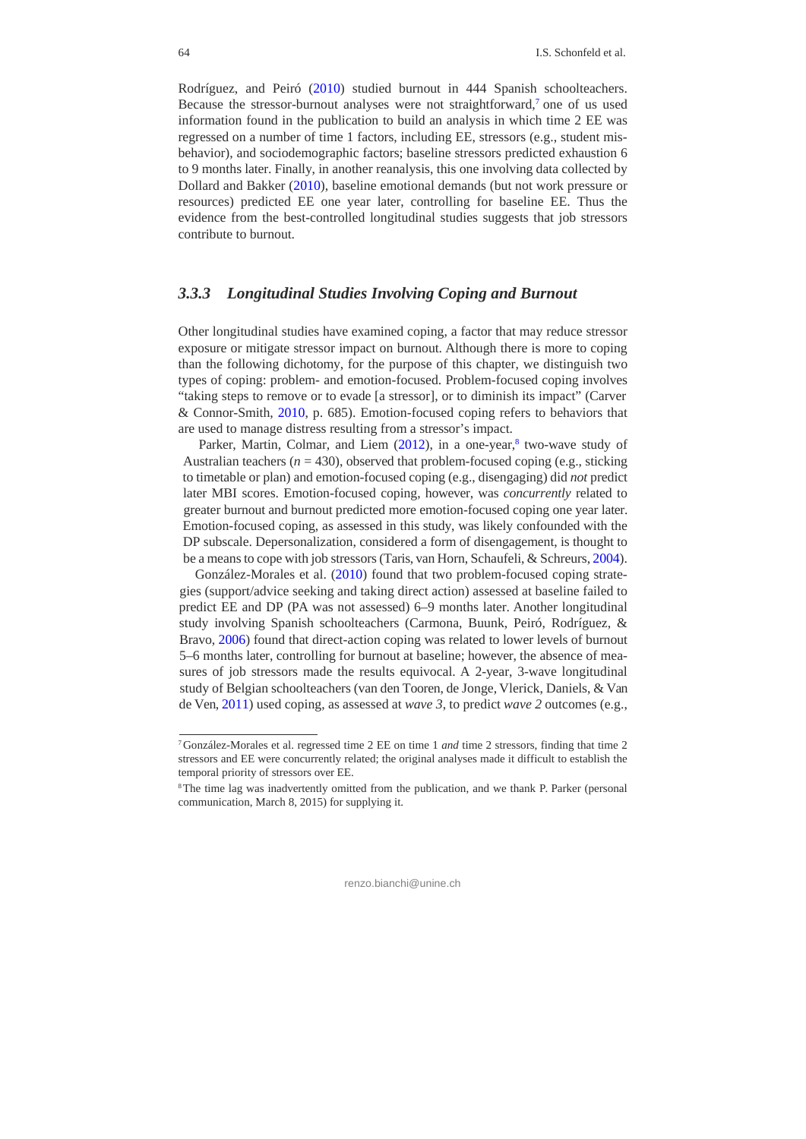Rodríguez, and Peiró (2010) studied burnout in 444 Spanish schoolteachers. Because the stressor-burnout analyses were not straightforward,7 one of us used information found in the publication to build an analysis in which time 2 EE was regressed on a number of time 1 factors, including EE, stressors (e.g., student misbehavior), and sociodemographic factors; baseline stressors predicted exhaustion 6 to 9 months later. Finally, in another reanalysis, this one involving data collected by Dollard and Bakker (2010), baseline emotional demands (but not work pressure or resources) predicted EE one year later, controlling for baseline EE. Thus the evidence from the best-controlled longitudinal studies suggests that job stressors contribute to burnout.

#### *3.3.3 Longitudinal Studies Involving Coping and Burnout*

Other longitudinal studies have examined coping, a factor that may reduce stressor exposure or mitigate stressor impact on burnout. Although there is more to coping than the following dichotomy, for the purpose of this chapter, we distinguish two types of coping: problem- and emotion-focused. Problem-focused coping involves "taking steps to remove or to evade [a stressor], or to diminish its impact" (Carver & Connor-Smith, 2010, p. 685). Emotion-focused coping refers to behaviors that are used to manage distress resulting from a stressor's impact.

Parker, Martin, Colmar, and Liem  $(2012)$ , in a one-year, $8$  two-wave study of Australian teachers ( $n = 430$ ), observed that problem-focused coping (e.g., sticking to timetable or plan) and emotion-focused coping (e.g., disengaging) did *not* predict later MBI scores. Emotion-focused coping, however, was *concurrently* related to greater burnout and burnout predicted more emotion-focused coping one year later. Emotion-focused coping, as assessed in this study, was likely confounded with the DP subscale. Depersonalization, considered a form of disengagement, is thought to be a means to cope with job stressors (Taris, van Horn, Schaufeli, & Schreurs, 2004).

González-Morales et al. (2010) found that two problem-focused coping strategies (support/advice seeking and taking direct action) assessed at baseline failed to predict EE and DP (PA was not assessed) 6–9 months later. Another longitudinal study involving Spanish schoolteachers (Carmona, Buunk, Peiró, Rodríguez, & Bravo, 2006) found that direct-action coping was related to lower levels of burnout 5–6 months later, controlling for burnout at baseline; however, the absence of measures of job stressors made the results equivocal. A 2-year, 3-wave longitudinal study of Belgian schoolteachers (van den Tooren, de Jonge, Vlerick, Daniels, & Van de Ven, 2011) used coping, as assessed at *wave 3*, to predict *wave 2* outcomes (e.g.,

<sup>7</sup> González-Morales et al. regressed time 2 EE on time 1 *and* time 2 stressors, finding that time 2 stressors and EE were concurrently related; the original analyses made it difficult to establish the temporal priority of stressors over EE.

<sup>&</sup>lt;sup>8</sup>The time lag was inadvertently omitted from the publication, and we thank P. Parker (personal communication, March 8, 2015) for supplying it.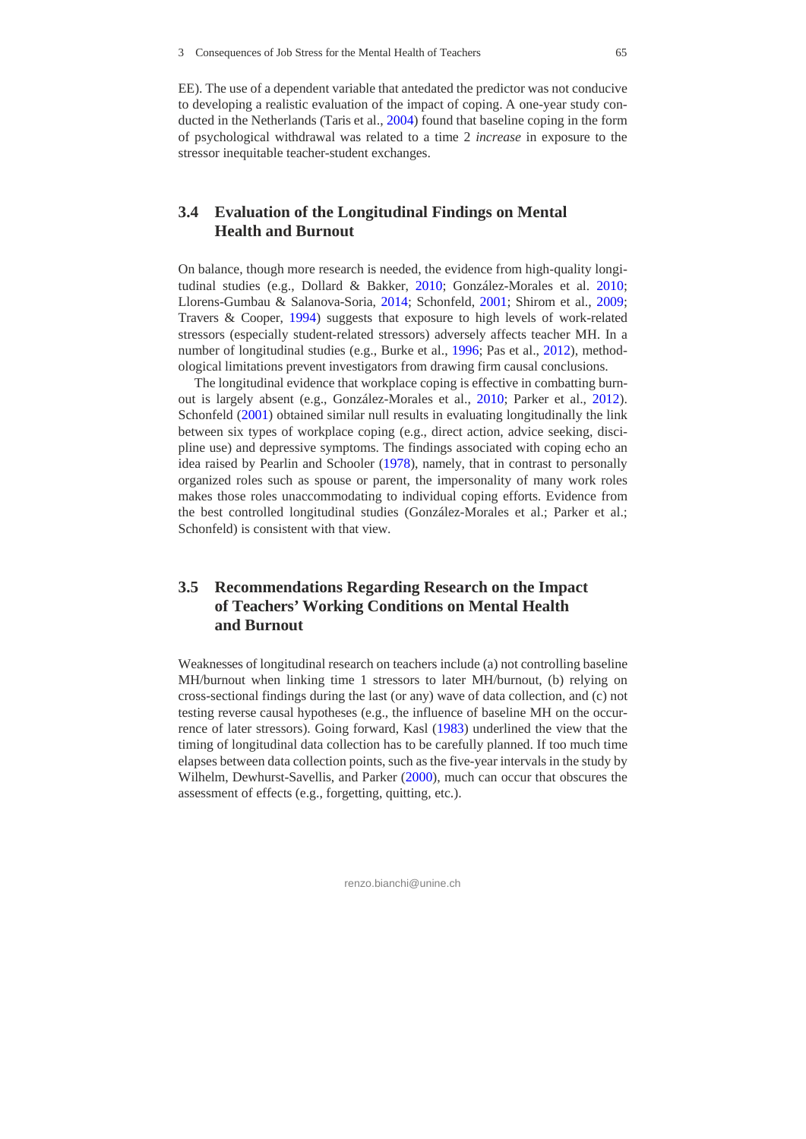EE). The use of a dependent variable that antedated the predictor was not conducive to developing a realistic evaluation of the impact of coping. A one-year study conducted in the Netherlands (Taris et al., 2004) found that baseline coping in the form of psychological withdrawal was related to a time 2 *increase* in exposure to the stressor inequitable teacher-student exchanges.

# **3.4 Evaluation of the Longitudinal Findings on Mental Health and Burnout**

On balance, though more research is needed, the evidence from high-quality longitudinal studies (e.g., Dollard & Bakker, 2010; González-Morales et al. 2010; Llorens-Gumbau & Salanova-Soria, 2014; Schonfeld, 2001; Shirom et al., 2009; Travers & Cooper, 1994) suggests that exposure to high levels of work-related stressors (especially student-related stressors) adversely affects teacher MH. In a number of longitudinal studies (e.g., Burke et al., 1996; Pas et al., 2012), methodological limitations prevent investigators from drawing firm causal conclusions.

The longitudinal evidence that workplace coping is effective in combatting burnout is largely absent (e.g., González-Morales et al., 2010; Parker et al., 2012). Schonfeld (2001) obtained similar null results in evaluating longitudinally the link between six types of workplace coping (e.g., direct action, advice seeking, discipline use) and depressive symptoms. The findings associated with coping echo an idea raised by Pearlin and Schooler (1978), namely, that in contrast to personally organized roles such as spouse or parent, the impersonality of many work roles makes those roles unaccommodating to individual coping efforts. Evidence from the best controlled longitudinal studies (González-Morales et al.; Parker et al.; Schonfeld) is consistent with that view.

# **3.5 Recommendations Regarding Research on the Impact of Teachers' Working Conditions on Mental Health and Burnout**

Weaknesses of longitudinal research on teachers include (a) not controlling baseline MH/burnout when linking time 1 stressors to later MH/burnout, (b) relying on cross-sectional findings during the last (or any) wave of data collection, and (c) not testing reverse causal hypotheses (e.g., the influence of baseline MH on the occurrence of later stressors). Going forward, Kasl (1983) underlined the view that the timing of longitudinal data collection has to be carefully planned. If too much time elapses between data collection points, such as the five-year intervals in the study by Wilhelm, Dewhurst-Savellis, and Parker (2000), much can occur that obscures the assessment of effects (e.g., forgetting, quitting, etc.).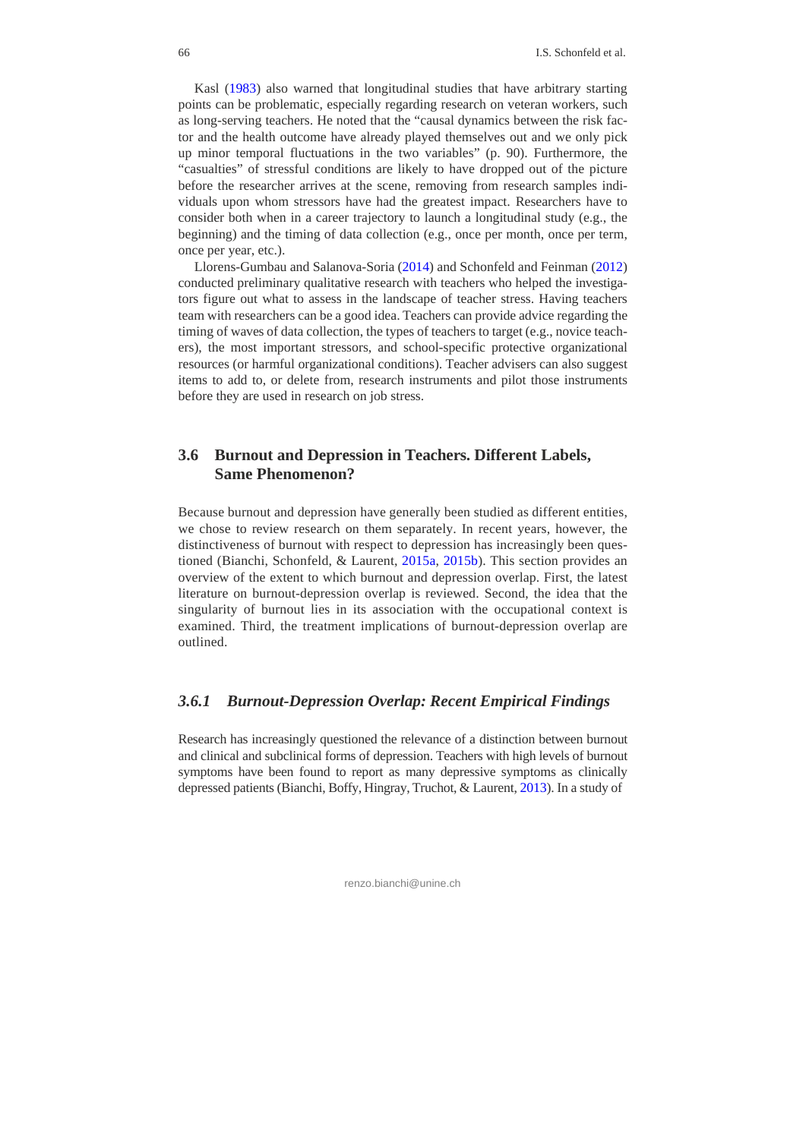Kasl (1983) also warned that longitudinal studies that have arbitrary starting points can be problematic, especially regarding research on veteran workers, such as long-serving teachers. He noted that the "causal dynamics between the risk factor and the health outcome have already played themselves out and we only pick up minor temporal fluctuations in the two variables" (p. 90). Furthermore, the "casualties" of stressful conditions are likely to have dropped out of the picture before the researcher arrives at the scene, removing from research samples individuals upon whom stressors have had the greatest impact. Researchers have to consider both when in a career trajectory to launch a longitudinal study (e.g., the beginning) and the timing of data collection (e.g., once per month, once per term, once per year, etc.).

Llorens-Gumbau and Salanova-Soria (2014) and Schonfeld and Feinman (2012) conducted preliminary qualitative research with teachers who helped the investigators figure out what to assess in the landscape of teacher stress. Having teachers team with researchers can be a good idea. Teachers can provide advice regarding the timing of waves of data collection, the types of teachers to target (e.g., novice teachers), the most important stressors, and school-specific protective organizational resources (or harmful organizational conditions). Teacher advisers can also suggest items to add to, or delete from, research instruments and pilot those instruments before they are used in research on job stress.

## **3.6 Burnout and Depression in Teachers. Different Labels, Same Phenomenon?**

Because burnout and depression have generally been studied as different entities, we chose to review research on them separately. In recent years, however, the distinctiveness of burnout with respect to depression has increasingly been questioned (Bianchi, Schonfeld, & Laurent, 2015a, 2015b). This section provides an overview of the extent to which burnout and depression overlap. First, the latest literature on burnout-depression overlap is reviewed. Second, the idea that the singularity of burnout lies in its association with the occupational context is examined. Third, the treatment implications of burnout-depression overlap are outlined.

## *3.6.1 Burnout-Depression Overlap: Recent Empirical Findings*

Research has increasingly questioned the relevance of a distinction between burnout and clinical and subclinical forms of depression. Teachers with high levels of burnout symptoms have been found to report as many depressive symptoms as clinically depressed patients (Bianchi, Boffy, Hingray, Truchot, & Laurent, 2013). In a study of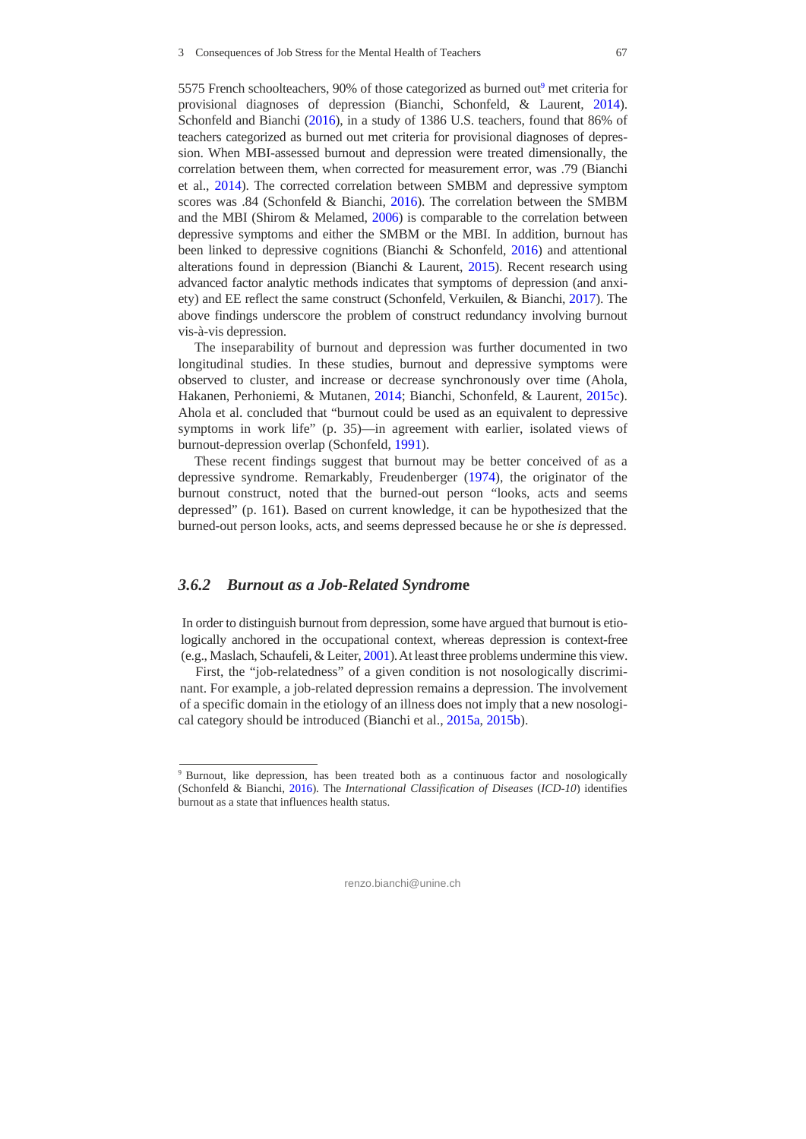5575 French schoolteachers, 90% of those categorized as burned out<sup>9</sup> met criteria for provisional diagnoses of depression (Bianchi, Schonfeld, & Laurent, 2014). Schonfeld and Bianchi (2016), in a study of 1386 U.S. teachers, found that 86% of teachers categorized as burned out met criteria for provisional diagnoses of depression. When MBI-assessed burnout and depression were treated dimensionally, the correlation between them, when corrected for measurement error, was .79 (Bianchi et al., 2014). The corrected correlation between SMBM and depressive symptom scores was .84 (Schonfeld & Bianchi, 2016). The correlation between the SMBM and the MBI (Shirom & Melamed, 2006) is comparable to the correlation between depressive symptoms and either the SMBM or the MBI. In addition, burnout has been linked to depressive cognitions (Bianchi & Schonfeld, 2016) and attentional alterations found in depression (Bianchi & Laurent, 2015). Recent research using advanced factor analytic methods indicates that symptoms of depression (and anxiety) and EE reflect the same construct (Schonfeld, Verkuilen, & Bianchi, 2017). The above findings underscore the problem of construct redundancy involving burnout vis-à-vis depression.

The inseparability of burnout and depression was further documented in two longitudinal studies. In these studies, burnout and depressive symptoms were observed to cluster, and increase or decrease synchronously over time (Ahola, Hakanen, Perhoniemi, & Mutanen, 2014; Bianchi, Schonfeld, & Laurent, 2015c). Ahola et al. concluded that "burnout could be used as an equivalent to depressive symptoms in work life" (p. 35)—in agreement with earlier, isolated views of burnout-depression overlap (Schonfeld, 1991).

These recent findings suggest that burnout may be better conceived of as a depressive syndrome. Remarkably, Freudenberger (1974), the originator of the burnout construct, noted that the burned-out person "looks, acts and seems depressed" (p. 161). Based on current knowledge, it can be hypothesized that the burned-out person looks, acts, and seems depressed because he or she *is* depressed.

#### *3.6.2 Burnout as a Job-Related Syndrom***e**

In order to distinguish burnout from depression, some have argued that burnout is etiologically anchored in the occupational context, whereas depression is context-free (e.g., Maslach, Schaufeli, & Leiter, 2001). At least three problems undermine this view.

First, the "job-relatedness" of a given condition is not nosologically discriminant. For example, a job-related depression remains a depression. The involvement of a specific domain in the etiology of an illness does not imply that a new nosological category should be introduced (Bianchi et al., 2015a, 2015b).

<sup>9</sup> Burnout, like depression, has been treated both as a continuous factor and nosologically (Schonfeld & Bianchi, 2016). The *International Classification of Diseases* (*ICD-10*) identifies burnout as a state that influences health status.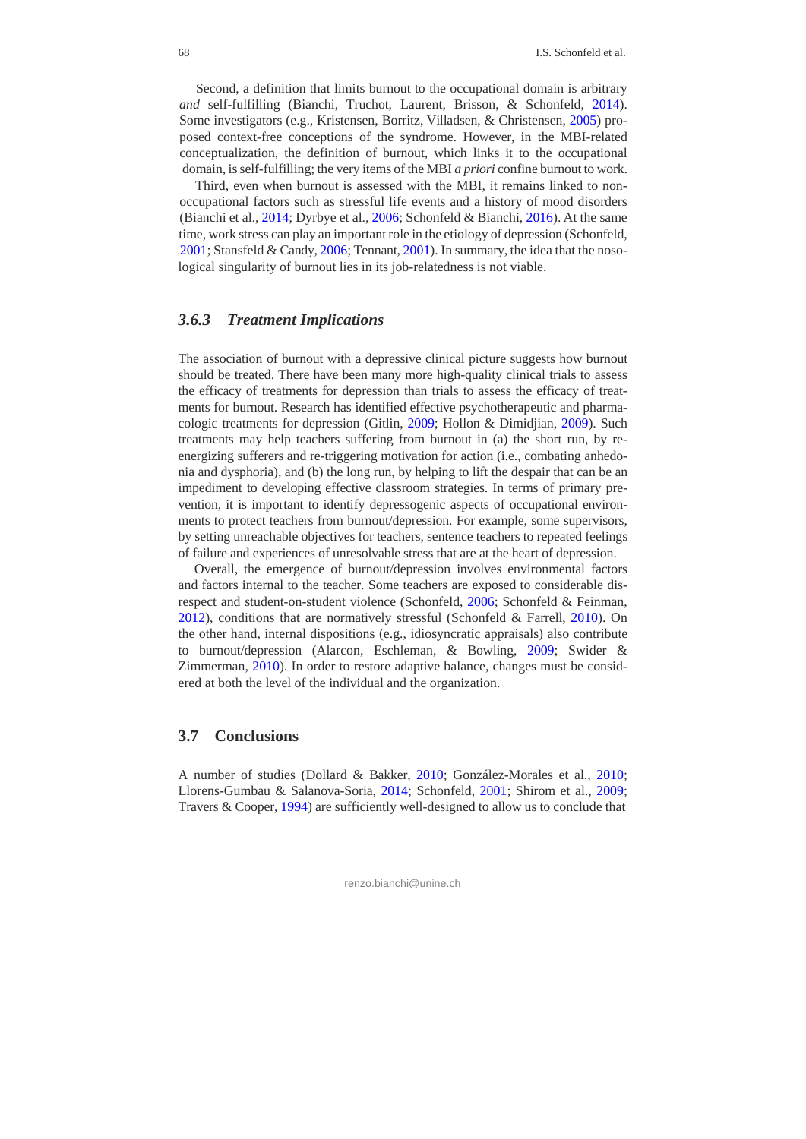Second, a definition that limits burnout to the occupational domain is arbitrary *and* self-fulfilling (Bianchi, Truchot, Laurent, Brisson, & Schonfeld, 2014). Some investigators (e.g., Kristensen, Borritz, Villadsen, & Christensen, 2005) proposed context-free conceptions of the syndrome. However, in the MBI-related conceptualization, the definition of burnout, which links it to the occupational domain, is self-fulfilling; the very items of the MBI *a priori* confine burnout to work.

Third, even when burnout is assessed with the MBI, it remains linked to nonoccupational factors such as stressful life events and a history of mood disorders (Bianchi et al., 2014; Dyrbye et al., 2006; Schonfeld & Bianchi, 2016). At the same time, work stress can play an important role in the etiology of depression (Schonfeld, 2001; Stansfeld & Candy, 2006; Tennant, 2001). In summary, the idea that the nosological singularity of burnout lies in its job-relatedness is not viable.

#### *3.6.3 Treatment Implications*

The association of burnout with a depressive clinical picture suggests how burnout should be treated. There have been many more high-quality clinical trials to assess the efficacy of treatments for depression than trials to assess the efficacy of treatments for burnout. Research has identified effective psychotherapeutic and pharmacologic treatments for depression (Gitlin, 2009; Hollon & Dimidjian, 2009). Such treatments may help teachers suffering from burnout in (a) the short run, by reenergizing sufferers and re-triggering motivation for action (i.e., combating anhedonia and dysphoria), and (b) the long run, by helping to lift the despair that can be an impediment to developing effective classroom strategies. In terms of primary prevention, it is important to identify depressogenic aspects of occupational environments to protect teachers from burnout/depression. For example, some supervisors, by setting unreachable objectives for teachers, sentence teachers to repeated feelings of failure and experiences of unresolvable stress that are at the heart of depression.

Overall, the emergence of burnout/depression involves environmental factors and factors internal to the teacher. Some teachers are exposed to considerable disrespect and student-on-student violence (Schonfeld, 2006; Schonfeld & Feinman, 2012), conditions that are normatively stressful (Schonfeld & Farrell, 2010). On the other hand, internal dispositions (e.g., idiosyncratic appraisals) also contribute to burnout/depression (Alarcon, Eschleman, & Bowling, 2009; Swider & Zimmerman, 2010). In order to restore adaptive balance, changes must be considered at both the level of the individual and the organization.

#### **3.7 Conclusions**

A number of studies (Dollard & Bakker, 2010; González-Morales et al., 2010; Llorens-Gumbau & Salanova-Soria, 2014; Schonfeld, 2001; Shirom et al., 2009; Travers & Cooper, 1994) are sufficiently well-designed to allow us to conclude that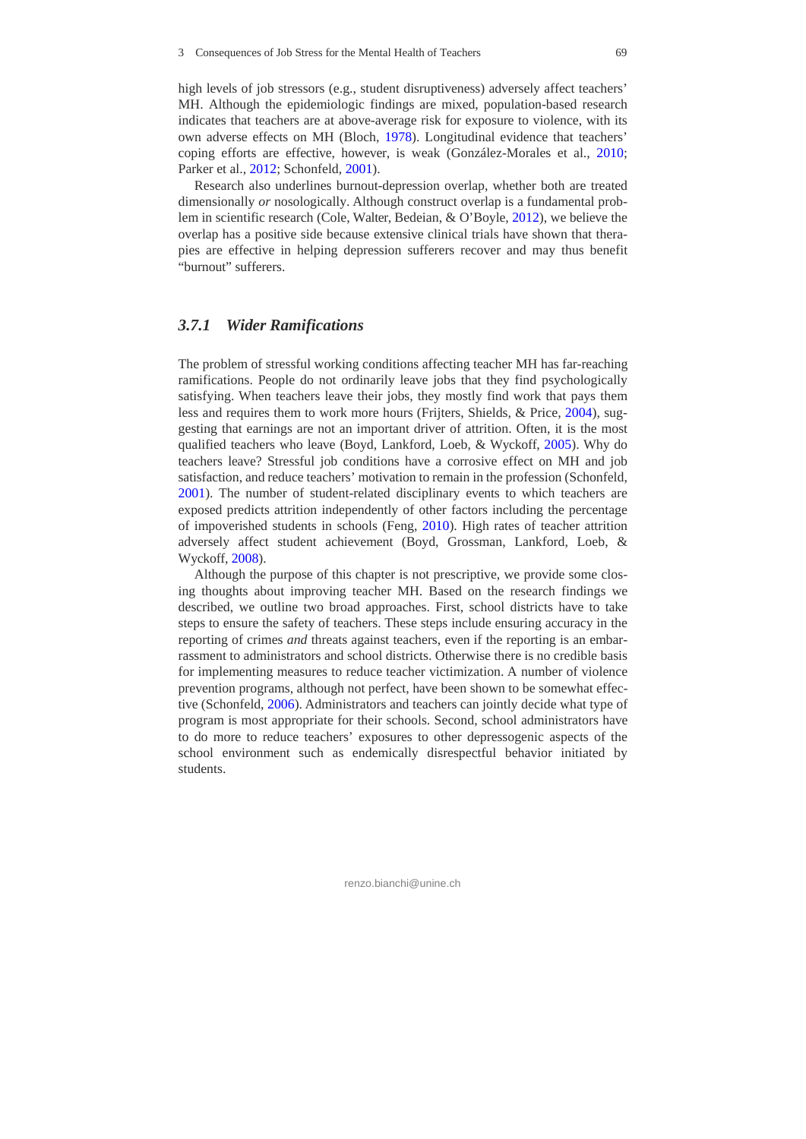high levels of job stressors (e.g., student disruptiveness) adversely affect teachers' MH. Although the epidemiologic findings are mixed, population-based research indicates that teachers are at above-average risk for exposure to violence, with its own adverse effects on MH (Bloch, 1978). Longitudinal evidence that teachers' coping efforts are effective, however, is weak (González-Morales et al., 2010; Parker et al., 2012; Schonfeld, 2001).

Research also underlines burnout-depression overlap, whether both are treated dimensionally *or* nosologically. Although construct overlap is a fundamental problem in scientific research (Cole, Walter, Bedeian, & O'Boyle, 2012), we believe the overlap has a positive side because extensive clinical trials have shown that therapies are effective in helping depression sufferers recover and may thus benefit "burnout" sufferers.

#### *3.7.1 Wider Ramifications*

The problem of stressful working conditions affecting teacher MH has far-reaching ramifications. People do not ordinarily leave jobs that they find psychologically satisfying. When teachers leave their jobs, they mostly find work that pays them less and requires them to work more hours (Frijters, Shields, & Price, 2004), suggesting that earnings are not an important driver of attrition. Often, it is the most qualified teachers who leave (Boyd, Lankford, Loeb, & Wyckoff, 2005). Why do teachers leave? Stressful job conditions have a corrosive effect on MH and job satisfaction, and reduce teachers' motivation to remain in the profession (Schonfeld, 2001). The number of student-related disciplinary events to which teachers are exposed predicts attrition independently of other factors including the percentage of impoverished students in schools (Feng, 2010). High rates of teacher attrition adversely affect student achievement (Boyd, Grossman, Lankford, Loeb, & Wyckoff, 2008).

Although the purpose of this chapter is not prescriptive, we provide some closing thoughts about improving teacher MH. Based on the research findings we described, we outline two broad approaches. First, school districts have to take steps to ensure the safety of teachers. These steps include ensuring accuracy in the reporting of crimes *and* threats against teachers, even if the reporting is an embarrassment to administrators and school districts. Otherwise there is no credible basis for implementing measures to reduce teacher victimization. A number of violence prevention programs, although not perfect, have been shown to be somewhat effective (Schonfeld, 2006). Administrators and teachers can jointly decide what type of program is most appropriate for their schools. Second, school administrators have to do more to reduce teachers' exposures to other depressogenic aspects of the school environment such as endemically disrespectful behavior initiated by students.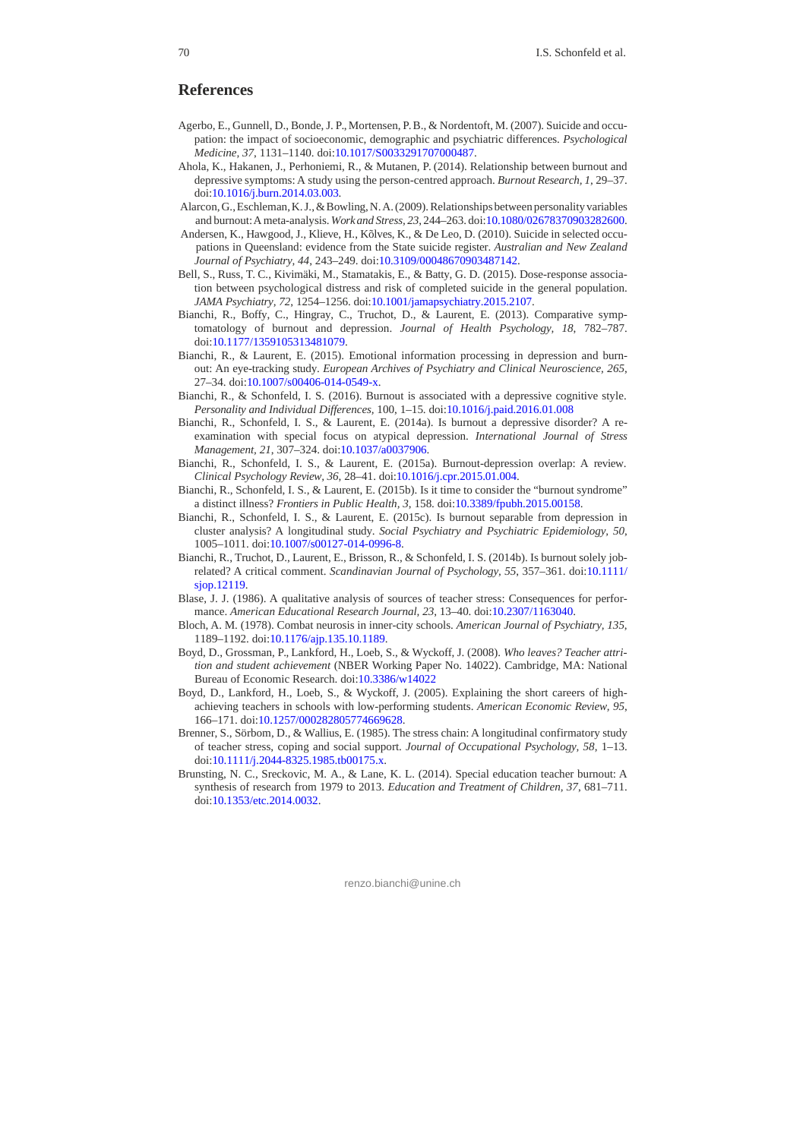#### **References**

- Agerbo, E., Gunnell, D., Bonde, J. P., Mortensen, P. B., & Nordentoft, M. (2007). Suicide and occupation: the impact of socioeconomic, demographic and psychiatric differences. *Psychological Medicine, 37*, 1131–1140. doi:10.1017/S0033291707000487.
- Ahola, K., Hakanen, J., Perhoniemi, R., & Mutanen, P. (2014). Relationship between burnout and depressive symptoms: A study using the person-centred approach. *Burnout Research, 1*, 29–37. doi:10.1016/j.burn.2014.03.003.
- Alarcon, G., Eschleman, K. J., & Bowling, N. A. (2009). Relationships between personality variables and burnout: A meta-analysis. *Work and Stress, 23*, 244–263. doi:10.1080/02678370903282600.
- Andersen, K., Hawgood, J., Klieve, H., Kõlves, K., & De Leo, D. (2010). Suicide in selected occupations in Queensland: evidence from the State suicide register. *Australian and New Zealand Journal of Psychiatry, 44*, 243–249. doi:10.3109/00048670903487142.
- Bell, S., Russ, T. C., Kivimäki, M., Stamatakis, E., & Batty, G. D. (2015). Dose-response association between psychological distress and risk of completed suicide in the general population. *JAMA Psychiatry, 72*, 1254–1256. doi:10.1001/jamapsychiatry.2015.2107.
- Bianchi, R., Boffy, C., Hingray, C., Truchot, D., & Laurent, E. (2013). Comparative symptomatology of burnout and depression. *Journal of Health Psychology, 18*, 782–787. doi:10.1177/1359105313481079.
- Bianchi, R., & Laurent, E. (2015). Emotional information processing in depression and burnout: An eye-tracking study. *European Archives of Psychiatry and Clinical Neuroscience, 265*, 27–34. doi:10.1007/s00406-014-0549-x.
- Bianchi, R., & Schonfeld, I. S. (2016). Burnout is associated with a depressive cognitive style. *Personality and Individual Differences,* 100, 1–15. doi:10.1016/j.paid.2016.01.008
- Bianchi, R., Schonfeld, I. S., & Laurent, E. (2014a). Is burnout a depressive disorder? A reexamination with special focus on atypical depression. *International Journal of Stress Management, 21*, 307–324. doi:10.1037/a0037906.
- Bianchi, R., Schonfeld, I. S., & Laurent, E. (2015a). Burnout-depression overlap: A review. *Clinical Psychology Review, 36*, 28–41. doi:10.1016/j.cpr.2015.01.004.
- Bianchi, R., Schonfeld, I. S., & Laurent, E. (2015b). Is it time to consider the "burnout syndrome" a distinct illness? *Frontiers in Public Health, 3*, 158. doi:10.3389/fpubh.2015.00158.
- Bianchi, R., Schonfeld, I. S., & Laurent, E. (2015c). Is burnout separable from depression in cluster analysis? A longitudinal study. *Social Psychiatry and Psychiatric Epidemiology, 50*, 1005–1011. doi:10.1007/s00127-014-0996-8.
- Bianchi, R., Truchot, D., Laurent, E., Brisson, R., & Schonfeld, I. S. (2014b). Is burnout solely jobrelated? A critical comment. *Scandinavian Journal of Psychology, 55*, 357–361. doi:10.1111/ siop.12119.
- Blase, J. J. (1986). A qualitative analysis of sources of teacher stress: Consequences for performance. *American Educational Research Journal, 23*, 13–40. doi:10.2307/1163040.
- Bloch, A. M. (1978). Combat neurosis in inner-city schools. *American Journal of Psychiatry, 135*, 1189–1192. doi:10.1176/ajp.135.10.1189.
- Boyd, D., Grossman, P., Lankford, H., Loeb, S., & Wyckoff, J. (2008). *Who leaves? Teacher attrition and student achievement* (NBER Working Paper No. 14022). Cambridge, MA: National Bureau of Economic Research. doi:10.3386/w14022
- Boyd, D., Lankford, H., Loeb, S., & Wyckoff, J. (2005). Explaining the short careers of highachieving teachers in schools with low-performing students. *American Economic Review, 95*, 166–171. doi:10.1257/000282805774669628.
- Brenner, S., Sörbom, D., & Wallius, E. (1985). The stress chain: A longitudinal confirmatory study of teacher stress, coping and social support. *Journal of Occupational Psychology, 58*, 1–13. doi:10.1111/j.2044-8325.1985.tb00175.x.
- Brunsting, N. C., Sreckovic, M. A., & Lane, K. L. (2014). Special education teacher burnout: A synthesis of research from 1979 to 2013. *Education and Treatment of Children, 37*, 681–711. doi:10.1353/etc.2014.0032.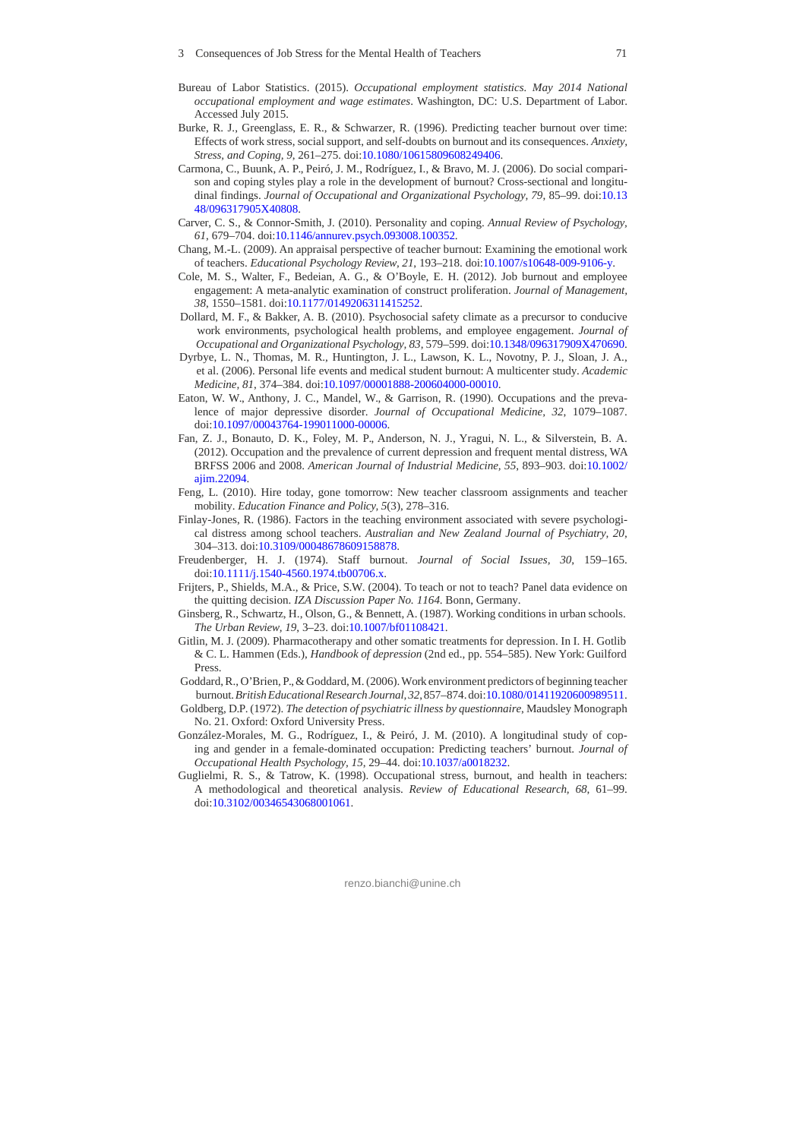- Bureau of Labor Statistics. (2015). *Occupational employment statistics. May 2014 National occupational employment and wage estimates*. Washington, DC: U.S. Department of Labor. Accessed July 2015.
- Burke, R. J., Greenglass, E. R., & Schwarzer, R. (1996). Predicting teacher burnout over time: Effects of work stress, social support, and self-doubts on burnout and its consequences. *Anxiety, Stress, and Coping, 9*, 261–275. doi:10.1080/10615809608249406.
- Carmona, C., Buunk, A. P., Peiró, J. M., Rodríguez, I., & Bravo, M. J. (2006). Do social comparison and coping styles play a role in the development of burnout? Cross-sectional and longitudinal findings. *Journal of Occupational and Organizational Psychology, 79*, 85–99. doi:10.13 48/096317905X40808.
- Carver, C. S., & Connor-Smith, J. (2010). Personality and coping. *Annual Review of Psychology, 61*, 679–704. doi:10.1146/annurev.psych.093008.100352.
- Chang, M.-L. (2009). An appraisal perspective of teacher burnout: Examining the emotional work of teachers. *Educational Psychology Review, 21*, 193–218. doi:10.1007/s10648-009-9106-y.
- Cole, M. S., Walter, F., Bedeian, A. G., & O'Boyle, E. H. (2012). Job burnout and employee engagement: A meta-analytic examination of construct proliferation. *Journal of Management, 38*, 1550–1581. doi:10.1177/0149206311415252.
- Dollard, M. F., & Bakker, A. B. (2010). Psychosocial safety climate as a precursor to conducive work environments, psychological health problems, and employee engagement. *Journal of Occupational and Organizational Psychology, 83*, 579–599. doi:10.1348/096317909X470690.
- Dyrbye, L. N., Thomas, M. R., Huntington, J. L., Lawson, K. L., Novotny, P. J., Sloan, J. A., et al. (2006). Personal life events and medical student burnout: A multicenter study. *Academic Medicine, 81*, 374–384. doi:10.1097/00001888-200604000-00010.
- Eaton, W. W., Anthony, J. C., Mandel, W., & Garrison, R. (1990). Occupations and the prevalence of major depressive disorder. *Journal of Occupational Medicine, 32*, 1079–1087. doi:10.1097/00043764-199011000-00006.
- Fan, Z. J., Bonauto, D. K., Foley, M. P., Anderson, N. J., Yragui, N. L., & Silverstein, B. A. (2012). Occupation and the prevalence of current depression and frequent mental distress, WA BRFSS 2006 and 2008. *American Journal of Industrial Medicine, 55*, 893–903. doi:10.1002/ ajim.22094.
- Feng, L. (2010). Hire today, gone tomorrow: New teacher classroom assignments and teacher mobility. *Education Finance and Policy, 5*(3), 278–316.
- Finlay-Jones, R. (1986). Factors in the teaching environment associated with severe psychological distress among school teachers. *Australian and New Zealand Journal of Psychiatry, 20*, 304–313. doi:10.3109/00048678609158878.
- Freudenberger, H. J. (1974). Staff burnout. *Journal of Social Issues, 30*, 159–165. doi:10.1111/j.1540-4560.1974.tb00706.x.
- Frijters, P., Shields, M.A., & Price, S.W. (2004). To teach or not to teach? Panel data evidence on the quitting decision. *IZA Discussion Paper No. 1164*. Bonn, Germany.
- Ginsberg, R., Schwartz, H., Olson, G., & Bennett, A. (1987). Working conditions in urban schools. *The Urban Review, 19*, 3–23. doi:10.1007/bf01108421.
- Gitlin, M. J. (2009). Pharmacotherapy and other somatic treatments for depression. In I. H. Gotlib & C. L. Hammen (Eds.), *Handbook of depression* (2nd ed., pp. 554–585). New York: Guilford Press.
- Goddard, R., O'Brien, P., & Goddard, M. (2006). Work environment predictors of beginning teacher burnout. *British Educational Research Journal, 32*, 857–874. doi:10.1080/01411920600989511.
- Goldberg, D.P. (1972). *The detection of psychiatric illness by questionnaire*, Maudsley Monograph No. 21. Oxford: Oxford University Press.
- González-Morales, M. G., Rodríguez, I., & Peiró, J. M. (2010). A longitudinal study of coping and gender in a female-dominated occupation: Predicting teachers' burnout. *Journal of Occupational Health Psychology, 15*, 29–44. doi:10.1037/a0018232.
- Guglielmi, R. S., & Tatrow, K. (1998). Occupational stress, burnout, and health in teachers: A methodological and theoretical analysis. *Review of Educational Research, 68*, 61–99. doi:10.3102/00346543068001061.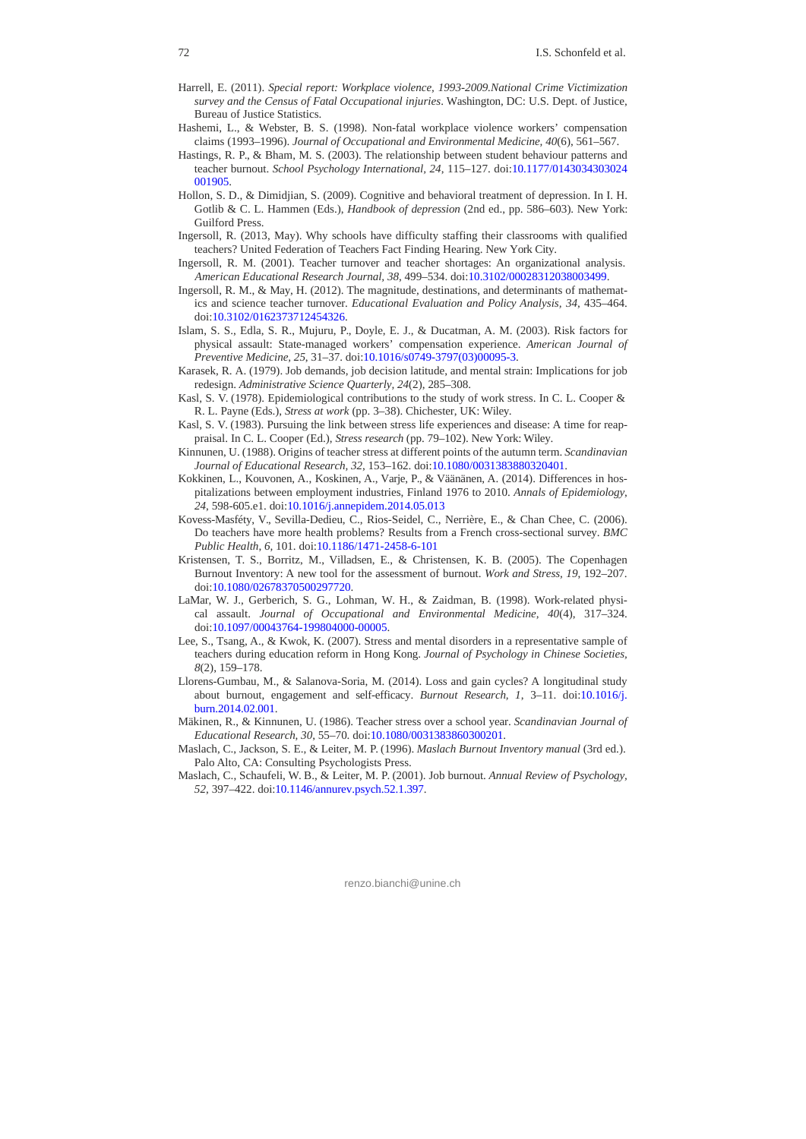- Harrell, E. (2011). *Special report: Workplace violence, 1993-2009.National Crime Victimization survey and the Census of Fatal Occupational injuries*. Washington, DC: U.S. Dept. of Justice, Bureau of Justice Statistics.
- Hashemi, L., & Webster, B. S. (1998). Non-fatal workplace violence workers' compensation claims (1993–1996). *Journal of Occupational and Environmental Medicine, 40*(6), 561–567.
- Hastings, R. P., & Bham, M. S. (2003). The relationship between student behaviour patterns and teacher burnout. *School Psychology International, 24*, 115–127. doi:10.1177/0143034303024 001905.
- Hollon, S. D., & Dimidjian, S. (2009). Cognitive and behavioral treatment of depression. In I. H. Gotlib & C. L. Hammen (Eds.), *Handbook of depression* (2nd ed., pp. 586–603). New York: Guilford Press.
- Ingersoll, R. (2013, May). Why schools have difficulty staffing their classrooms with qualified teachers? United Federation of Teachers Fact Finding Hearing. New York City.
- Ingersoll, R. M. (2001). Teacher turnover and teacher shortages: An organizational analysis. *American Educational Research Journal, 38*, 499–534. doi:10.3102/00028312038003499.
- Ingersoll, R. M., & May, H. (2012). The magnitude, destinations, and determinants of mathematics and science teacher turnover. *Educational Evaluation and Policy Analysis, 34*, 435–464. doi:10.3102/0162373712454326.
- Islam, S. S., Edla, S. R., Mujuru, P., Doyle, E. J., & Ducatman, A. M. (2003). Risk factors for physical assault: State-managed workers' compensation experience. *American Journal of Preventive Medicine, 25*, 31–37. doi:10.1016/s0749-3797(03)00095-3.
- Karasek, R. A. (1979). Job demands, job decision latitude, and mental strain: Implications for job redesign. *Administrative Science Quarterly, 24*(2), 285–308.
- Kasl, S. V. (1978). Epidemiological contributions to the study of work stress. In C. L. Cooper & R. L. Payne (Eds.), *Stress at work* (pp. 3–38). Chichester, UK: Wiley.
- Kasl, S. V. (1983). Pursuing the link between stress life experiences and disease: A time for reappraisal. In C. L. Cooper (Ed.), *Stress research* (pp. 79–102). New York: Wiley.
- Kinnunen, U. (1988). Origins of teacher stress at different points of the autumn term. *Scandinavian Journal of Educational Research, 32*, 153–162. doi:10.1080/0031383880320401.
- Kokkinen, L., Kouvonen, A., Koskinen, A., Varje, P., & Väänänen, A. (2014). Differences in hospitalizations between employment industries, Finland 1976 to 2010. *Annals of Epidemiology*, *24*, 598-605.e1. doi:10.1016/j.annepidem.2014.05.013
- Kovess-Masféty, V., Sevilla-Dedieu, C., Rios-Seidel, C., Nerrière, E., & Chan Chee, C. (2006). Do teachers have more health problems? Results from a French cross-sectional survey. *BMC Public Health*, *6,* 101. doi:10.1186/1471-2458-6-101
- Kristensen, T. S., Borritz, M., Villadsen, E., & Christensen, K. B. (2005). The Copenhagen Burnout Inventory: A new tool for the assessment of burnout. *Work and Stress, 19*, 192–207. doi:10.1080/02678370500297720.
- LaMar, W. J., Gerberich, S. G., Lohman, W. H., & Zaidman, B. (1998). Work-related physical assault. *Journal of Occupational and Environmental Medicine, 40*(4), 317–324. doi:10.1097/00043764-199804000-00005.
- Lee, S., Tsang, A., & Kwok, K. (2007). Stress and mental disorders in a representative sample of teachers during education reform in Hong Kong. *Journal of Psychology in Chinese Societies, 8*(2), 159–178.
- Llorens-Gumbau, M., & Salanova-Soria, M. (2014). Loss and gain cycles? A longitudinal study about burnout, engagement and self-efficacy. *Burnout Research, 1*, 3–11. doi:10.1016/j. burn.2014.02.001.
- Mäkinen, R., & Kinnunen, U. (1986). Teacher stress over a school year. *Scandinavian Journal of Educational Research, 30*, 55–70. doi:10.1080/0031383860300201.
- Maslach, C., Jackson, S. E., & Leiter, M. P. (1996). *Maslach Burnout Inventory manual* (3rd ed.). Palo Alto, CA: Consulting Psychologists Press.
- Maslach, C., Schaufeli, W. B., & Leiter, M. P. (2001). Job burnout. *Annual Review of Psychology, 52*, 397–422. doi:10.1146/annurev.psych.52.1.397.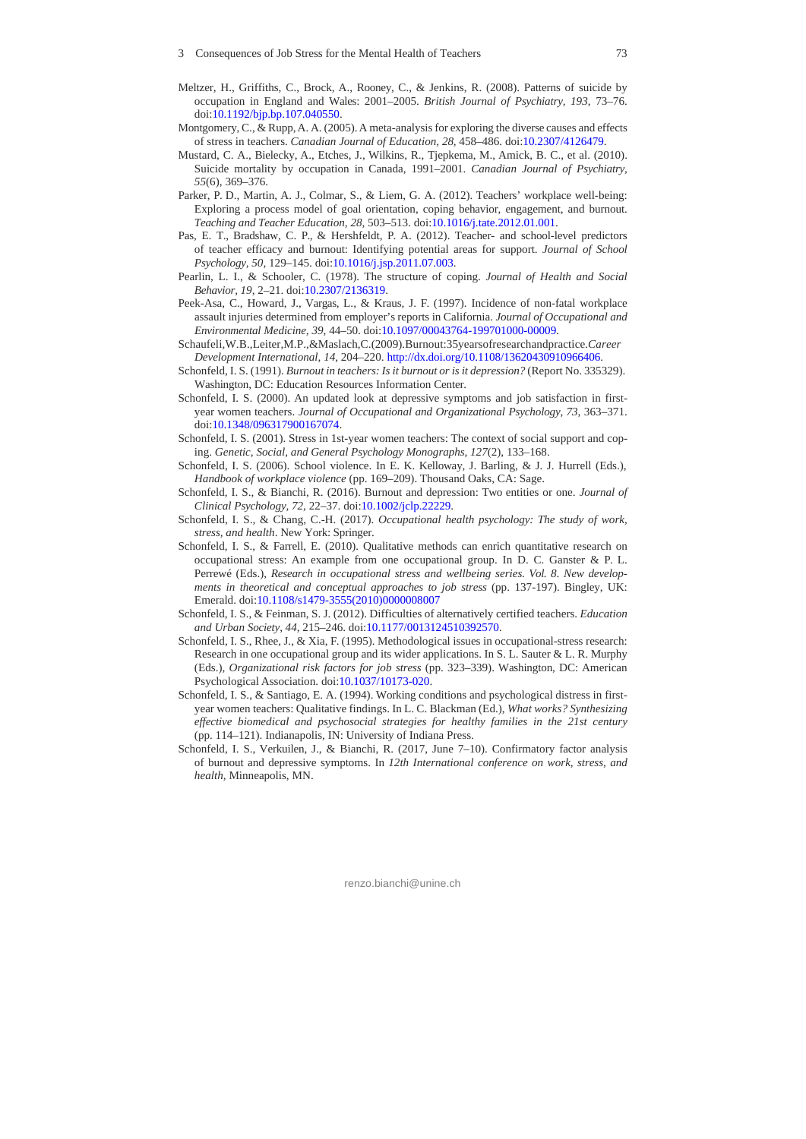- Meltzer, H., Griffiths, C., Brock, A., Rooney, C., & Jenkins, R. (2008). Patterns of suicide by occupation in England and Wales: 2001–2005. *British Journal of Psychiatry, 193*, 73–76. doi:10.1192/bjp.bp.107.040550.
- Montgomery, C., & Rupp, A. A. (2005). A meta-analysis for exploring the diverse causes and effects of stress in teachers. *Canadian Journal of Education, 28*, 458–486. doi:10.2307/4126479.
- Mustard, C. A., Bielecky, A., Etches, J., Wilkins, R., Tjepkema, M., Amick, B. C., et al. (2010). Suicide mortality by occupation in Canada, 1991–2001. *Canadian Journal of Psychiatry, 55*(6), 369–376.
- Parker, P. D., Martin, A. J., Colmar, S., & Liem, G. A. (2012). Teachers' workplace well-being: Exploring a process model of goal orientation, coping behavior, engagement, and burnout. *Teaching and Teacher Education, 28*, 503–513. doi:10.1016/j.tate.2012.01.001.
- Pas, E. T., Bradshaw, C. P., & Hershfeldt, P. A. (2012). Teacher- and school-level predictors of teacher efficacy and burnout: Identifying potential areas for support. *Journal of School Psychology, 50*, 129–145. doi:10.1016/j.jsp.2011.07.003.
- Pearlin, L. I., & Schooler, C. (1978). The structure of coping. *Journal of Health and Social Behavior, 19*, 2–21. doi:10.2307/2136319.
- Peek-Asa, C., Howard, J., Vargas, L., & Kraus, J. F. (1997). Incidence of non-fatal workplace assault injuries determined from employer's reports in California. *Journal of Occupational and Environmental Medicine, 39*, 44–50. doi:10.1097/00043764-199701000-00009.
- Schaufeli,W.B.,Leiter,M.P.,&Maslach,C.(2009).Burnout:35yearsofresearchandpractice.*Career Development International, 14*, 204–220. http://dx.doi.org/10.1108/13620430910966406.
- Schonfeld, I. S. (1991). *Burnout in teachers: Is it burnout or is it depression?* (Report No. 335329). Washington, DC: Education Resources Information Center.
- Schonfeld, I. S. (2000). An updated look at depressive symptoms and job satisfaction in firstyear women teachers. *Journal of Occupational and Organizational Psychology, 73*, 363–371. doi:10.1348/096317900167074.
- Schonfeld, I. S. (2001). Stress in 1st-year women teachers: The context of social support and coping. *Genetic, Social, and General Psychology Monographs, 127*(2), 133–168.
- Schonfeld, I. S. (2006). School violence. In E. K. Kelloway, J. Barling, & J. J. Hurrell (Eds.), *Handbook of workplace violence* (pp. 169–209). Thousand Oaks, CA: Sage.
- Schonfeld, I. S., & Bianchi, R. (2016). Burnout and depression: Two entities or one. *Journal of Clinical Psychology, 72*, 22–37. doi:10.1002/jclp.22229.
- Schonfeld, I. S., & Chang, C.-H. (2017). *Occupational health psychology: The study of work, stress, and health*. New York: Springer.
- Schonfeld, I. S., & Farrell, E. (2010). Qualitative methods can enrich quantitative research on occupational stress: An example from one occupational group. In D. C. Ganster & P. L. Perrewé (Eds.), *Research in occupational stress and wellbeing series. Vol. 8*. *New developments in theoretical and conceptual approaches to job stress* (pp. 137-197). Bingley, UK: Emerald. doi:10.1108/s1479-3555(2010)0000008007
- Schonfeld, I. S., & Feinman, S. J. (2012). Difficulties of alternatively certified teachers. *Education and Urban Society, 44*, 215–246. doi:10.1177/0013124510392570.
- Schonfeld, I. S., Rhee, J., & Xia, F. (1995). Methodological issues in occupational-stress research: Research in one occupational group and its wider applications. In S. L. Sauter & L. R. Murphy (Eds.), *Organizational risk factors for job stress* (pp. 323–339). Washington, DC: American Psychological Association. doi:10.1037/10173-020.
- Schonfeld, I. S., & Santiago, E. A. (1994). Working conditions and psychological distress in firstyear women teachers: Qualitative findings. In L. C. Blackman (Ed.), *What works? Synthesizing effective biomedical and psychosocial strategies for healthy families in the 21st century*  (pp. 114–121). Indianapolis, IN: University of Indiana Press.
- Schonfeld, I. S., Verkuilen, J., & Bianchi, R. (2017, June 7–10). Confirmatory factor analysis of burnout and depressive symptoms. In *12th International conference on work, stress, and health,* Minneapolis, MN.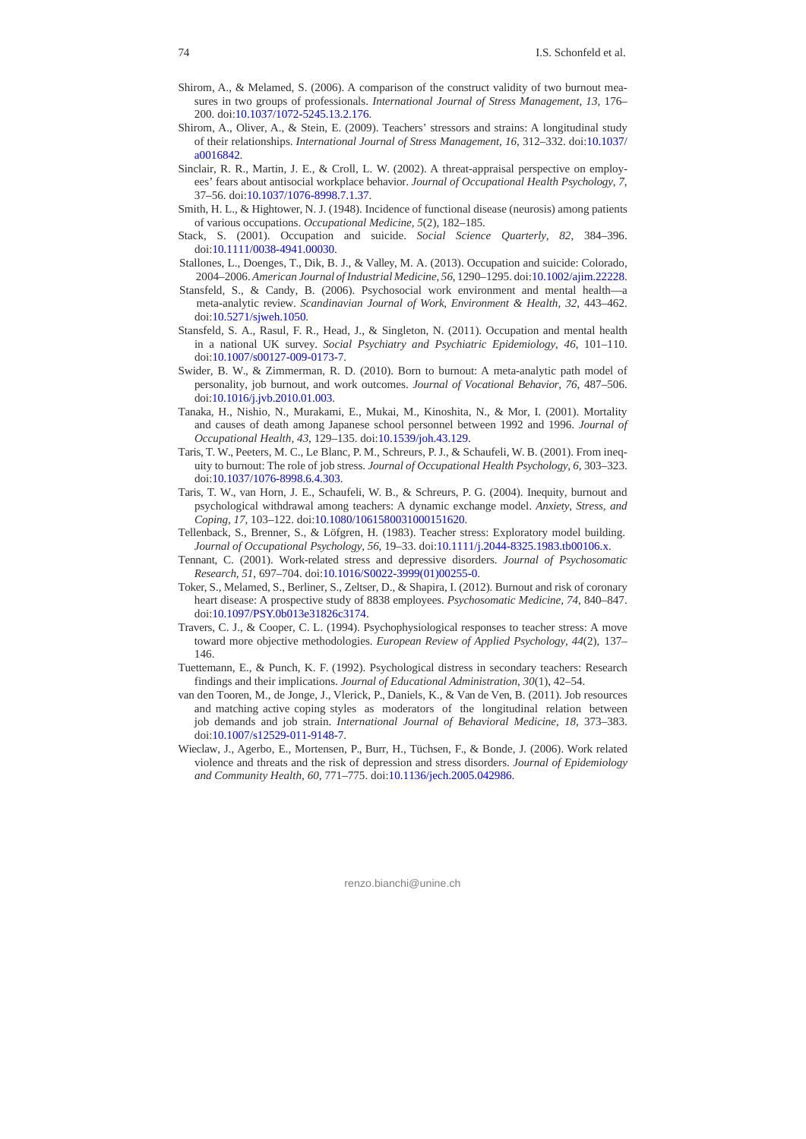- Shirom, A., & Melamed, S. (2006). A comparison of the construct validity of two burnout measures in two groups of professionals. *International Journal of Stress Management, 13*, 176– 200. doi:10.1037/1072-5245.13.2.176
- Shirom, A., Oliver, A., & Stein, E. (2009). Teachers' stressors and strains: A longitudinal study of their relationships. *International Journal of Stress Management, 16*, 312–332. doi:10.1037/ a0016842.
- Sinclair, R. R., Martin, J. E., & Croll, L. W. (2002). A threat-appraisal perspective on employees' fears about antisocial workplace behavior. *Journal of Occupational Health Psychology, 7*, 37–56. doi:10.1037/1076-8998.7.1.37.
- Smith, H. L., & Hightower, N. J. (1948). Incidence of functional disease (neurosis) among patients of various occupations. *Occupational Medicine, 5*(2), 182–185.
- Stack, S. (2001). Occupation and suicide. *Social Science Quarterly, 82*, 384–396. doi:10.1111/0038-4941.00030.
- Stallones, L., Doenges, T., Dik, B. J., & Valley, M. A. (2013). Occupation and suicide: Colorado, 2004–2006. *American Journal of Industrial Medicine, 56*, 1290–1295. doi:10.1002/ajim.22228.
- Stansfeld, S., & Candy, B. (2006). Psychosocial work environment and mental health—a meta-analytic review. *Scandinavian Journal of Work, Environment & Health, 32*, 443–462. doi:10.5271/sjweh.1050.
- Stansfeld, S. A., Rasul, F. R., Head, J., & Singleton, N. (2011). Occupation and mental health in a national UK survey. *Social Psychiatry and Psychiatric Epidemiology, 46*, 101–110. doi:10.1007/s00127-009-0173-7.
- Swider, B. W., & Zimmerman, R. D. (2010). Born to burnout: A meta-analytic path model of personality, job burnout, and work outcomes. *Journal of Vocational Behavior, 76*, 487–506. doi:10.1016/j.jvb.2010.01.003.
- Tanaka, H., Nishio, N., Murakami, E., Mukai, M., Kinoshita, N., & Mor, I. (2001). Mortality and causes of death among Japanese school personnel between 1992 and 1996. *Journal of Occupational Health, 43*, 129–135. doi:10.1539/joh.43.129.
- Taris, T. W., Peeters, M. C., Le Blanc, P. M., Schreurs, P. J., & Schaufeli, W. B. (2001). From inequity to burnout: The role of job stress. *Journal of Occupational Health Psychology, 6*, 303–323. doi:10.1037/1076-8998.6.4.303.
- Taris, T. W., van Horn, J. E., Schaufeli, W. B., & Schreurs, P. G. (2004). Inequity, burnout and psychological withdrawal among teachers: A dynamic exchange model. *Anxiety, Stress, and Coping, 17*, 103–122. doi:10.1080/1061580031000151620.
- Tellenback, S., Brenner, S., & Löfgren, H. (1983). Teacher stress: Exploratory model building. *Journal of Occupational Psychology, 56*, 19–33. doi:10.1111/j.2044-8325.1983.tb00106.x.
- Tennant, C. (2001). Work-related stress and depressive disorders. *Journal of Psychosomatic Research, 51*, 697–704. doi:10.1016/S0022-3999(01)00255-0.
- Toker, S., Melamed, S., Berliner, S., Zeltser, D., & Shapira, I. (2012). Burnout and risk of coronary heart disease: A prospective study of 8838 employees. *Psychosomatic Medicine, 74*, 840–847. doi:10.1097/PSY.0b013e31826c3174.
- Travers, C. J., & Cooper, C. L. (1994). Psychophysiological responses to teacher stress: A move toward more objective methodologies. *European Review of Applied Psychology, 44*(2), 137– 146.
- Tuettemann, E., & Punch, K. F. (1992). Psychological distress in secondary teachers: Research findings and their implications. *Journal of Educational Administration, 30*(1), 42–54.
- van den Tooren, M., de Jonge, J., Vlerick, P., Daniels, K., & Van de Ven, B. (2011). Job resources and matching active coping styles as moderators of the longitudinal relation between job demands and job strain. *International Journal of Behavioral Medicine, 18*, 373–383. doi:10.1007/s12529-011-9148-7.
- Wieclaw, J., Agerbo, E., Mortensen, P., Burr, H., Tüchsen, F., & Bonde, J. (2006). Work related violence and threats and the risk of depression and stress disorders. *Journal of Epidemiology and Community Health, 60*, 771–775. doi:10.1136/jech.2005.042986.